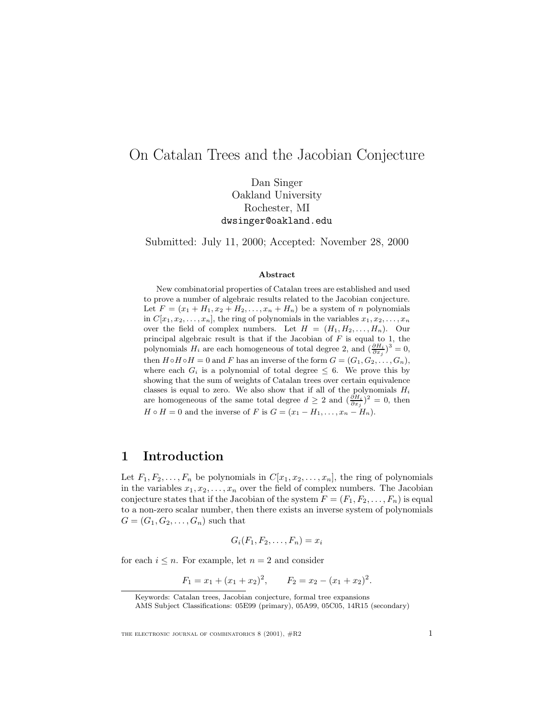## On Catalan Trees and the Jacobian Conjecture

Dan Singer Oakland University Rochester, MI dwsinger@oakland.edu

Submitted: July 11, 2000; Accepted: November 28, 2000

#### **Abstract**

New combinatorial properties of Catalan trees are established and used to prove a number of algebraic results related to the Jacobian conjecture. Let  $F = (x_1 + H_1, x_2 + H_2, \ldots, x_n + H_n)$  be a system of n polynomials in  $C[x_1, x_2, \ldots, x_n]$ , the ring of polynomials in the variables  $x_1, x_2, \ldots, x_n$ over the field of complex numbers. Let  $H = (H_1, H_2, \ldots, H_n)$ . Our principal algebraic result is that if the Jacobian of  $F$  is equal to 1, the polynomials  $H_i$  are each homogeneous of total degree 2, and  $(\frac{\partial H_i}{\partial x_j})^3 = 0$ , then  $H \circ H \circ H = 0$  and F has an inverse of the form  $G = (G_1, G_2, \ldots, G_n)$ , where each  $G_i$  is a polynomial of total degree  $\leq 6$ . We prove this by showing that the sum of weights of Catalan trees over certain equivalence classes is equal to zero. We also show that if all of the polynomials  $H_i$ are homogeneous of the same total degree  $d \geq 2$  and  $(\frac{\partial H_i}{\partial x_j})^2 = 0$ , then  $H \circ H = 0$  and the inverse of F is  $G = (x_1 - H_1, \ldots, x_n - H_n)$ .

### **1 Introduction**

Let  $F_1, F_2, \ldots, F_n$  be polynomials in  $C[x_1, x_2, \ldots, x_n]$ , the ring of polynomials in the variables  $x_1, x_2, \ldots, x_n$  over the field of complex numbers. The Jacobian conjecture states that if the Jacobian of the system  $F = (F_1, F_2, \ldots, F_n)$  is equal to a non-zero scalar number, then there exists an inverse system of polynomials  $G = (G_1, G_2, \ldots, G_n)$  such that

$$
G_i(F_1, F_2, \ldots, F_n) = x_i
$$

for each  $i \leq n$ . For example, let  $n = 2$  and consider

$$
F_1 = x_1 + (x_1 + x_2)^2
$$
,  $F_2 = x_2 - (x_1 + x_2)^2$ .

Keywords: Catalan trees, Jacobian conjecture, formal tree expansions

AMS Subject Classifications: 05E99 (primary), 05A99, 05C05, 14R15 (secondary)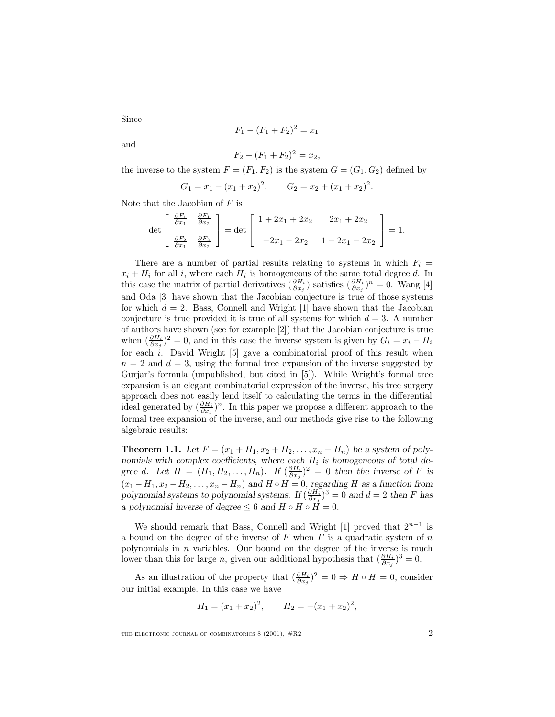Since

$$
F_1 - (F_1 + F_2)^2 = x_1
$$

and

$$
F_2 + (F_1 + F_2)^2 = x_2,
$$

the inverse to the system  $F = (F_1, F_2)$  is the system  $G = (G_1, G_2)$  defined by

$$
G_1 = x_1 - (x_1 + x_2)^2
$$
,  $G_2 = x_2 + (x_1 + x_2)^2$ .

Note that the Jacobian of  $F$  is

$$
\det \begin{bmatrix} \frac{\partial F_1}{\partial x_1} & \frac{\partial F_1}{\partial x_2} \\ \frac{\partial F_2}{\partial x_1} & \frac{\partial F_2}{\partial x_2} \end{bmatrix} = \det \begin{bmatrix} 1 + 2x_1 + 2x_2 & 2x_1 + 2x_2 \\ -2x_1 - 2x_2 & 1 - 2x_1 - 2x_2 \end{bmatrix} = 1.
$$

There are a number of partial results relating to systems in which  $F_i =$  $x_i + H_i$  for all i, where each  $H_i$  is homogeneous of the same total degree d. In this case the matrix of partial derivatives  $(\frac{\partial H_i}{\partial x_j})$  satisfies  $(\frac{\partial H_i}{\partial x_j})^n = 0$ . Wang [4] and Oda [3] have shown that the Jacobian conjecture is true of those systems for which  $d = 2$ . Bass, Connell and Wright [1] have shown that the Jacobian conjecture is true provided it is true of all systems for which  $d = 3$ . A number of authors have shown (see for example [2]) that the Jacobian conjecture is true when  $(\frac{\partial H_i}{\partial x_j})^2 = 0$ , and in this case the inverse system is given by  $G_i = x_i - H_i$ for each  $i$ . David Wright  $[5]$  gave a combinatorial proof of this result when  $n = 2$  and  $d = 3$ , using the formal tree expansion of the inverse suggested by Gurjar's formula (unpublished, but cited in [5]). While Wright's formal tree expansion is an elegant combinatorial expression of the inverse, his tree surgery approach does not easily lend itself to calculating the terms in the differential ideal generated by  $(\frac{\partial H_i}{\partial x_j})^n$ . In this paper we propose a different approach to the formal tree expansion of the inverse, and our methods give rise to the following algebraic results:

**Theorem 1.1.** Let  $F = (x_1 + H_1, x_2 + H_2, \ldots, x_n + H_n)$  be a system of poly*nomials with complex coefficients, where each*  $H_i$  *is homogeneous of total degree* d*.* Let  $H = (H_1, H_2, \ldots, H_n)$ . If  $\left(\frac{\partial H_i}{\partial x_j}\right)^2 = 0$  then the inverse of F is  $(x_1 - H_1, x_2 - H_2, \ldots, x_n - H_n)$  and  $H \circ H = 0$ , regarding H as a function from *polynomial systems to polynomial systems.* If  $(\frac{\partial H_i}{\partial x_j})^3 = 0$  and  $d = 2$  then F has *a polynomial inverse of degree*  $\leq 6$  *and*  $H \circ H \circ \tilde{H} = 0$ *.* 

We should remark that Bass, Connell and Wright [1] proved that  $2^{n-1}$  is a bound on the degree of the inverse of  $F$  when  $F$  is a quadratic system of  $n$ polynomials in  $n$  variables. Our bound on the degree of the inverse is much lower than this for large *n*, given our additional hypothesis that  $(\frac{\partial H_i}{\partial x_j})^3 = 0$ .

As an illustration of the property that  $(\frac{\partial H_i}{\partial x_j})^2 = 0 \Rightarrow H \circ H = 0$ , consider our initial example. In this case we have

$$
H_1 = (x_1 + x_2)^2, \qquad H_2 = -(x_1 + x_2)^2,
$$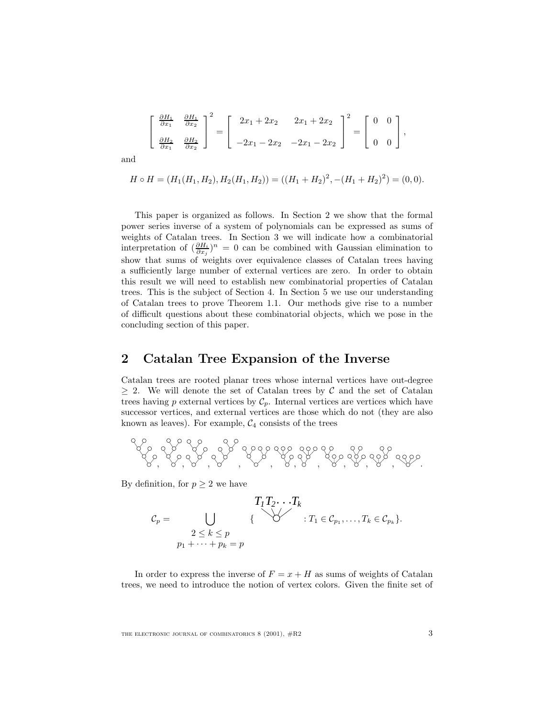$$
\begin{bmatrix}\n\frac{\partial H_1}{\partial x_1} & \frac{\partial H_1}{\partial x_2} \\
\frac{\partial H_2}{\partial x_1} & \frac{\partial H_2}{\partial x_2}\n\end{bmatrix}^2 = \begin{bmatrix}\n2x_1 + 2x_2 & 2x_1 + 2x_2 \\
-2x_1 - 2x_2 & -2x_1 - 2x_2\n\end{bmatrix}^2 = \begin{bmatrix}\n0 & 0 \\
0 & 0\n\end{bmatrix},
$$

and

$$
H \circ H = (H_1(H_1, H_2), H_2(H_1, H_2)) = ((H_1 + H_2)^2, -(H_1 + H_2)^2) = (0, 0).
$$

This paper is organized as follows. In Section 2 we show that the formal power series inverse of a system of polynomials can be expressed as sums of weights of Catalan trees. In Section 3 we will indicate how a combinatorial interpretation of  $\left(\frac{\partial H_i}{\partial x_j}\right)^n = 0$  can be combined with Gaussian elimination to show that sums of weights over equivalence classes of Catalan trees having a sufficiently large number of external vertices are zero. In order to obtain this result we will need to establish new combinatorial properties of Catalan trees. This is the subject of Section 4. In Section 5 we use our understanding of Catalan trees to prove Theorem 1.1. Our methods give rise to a number of difficult questions about these combinatorial objects, which we pose in the concluding section of this paper.

## **2 Catalan Tree Expansion of the Inverse**

Catalan trees are rooted planar trees whose internal vertices have out-degree  $\geq$  2. We will denote the set of Catalan trees by C and the set of Catalan trees having  $p$  external vertices by  $C_p$ . Internal vertices are vertices which have successor vertices, and external vertices are those which do not (they are also known as leaves). For example,  $C_4$  consists of the trees



By definition, for  $p \geq 2$  we have

$$
T_1T_2\cdots T_k
$$
  
\n
$$
C_p = \bigcup_{\begin{array}{l}2 \leq k \leq p\\p_1 + \cdots + p_k = p\end{array}} \{\begin{array}{l} \\ \bigvee \end{array}} \qquad : T_1 \in C_{p_1}, \ldots, T_k \in C_{p_k}\}.
$$

In order to express the inverse of  $F = x + H$  as sums of weights of Catalan trees, we need to introduce the notion of vertex colors. Given the finite set of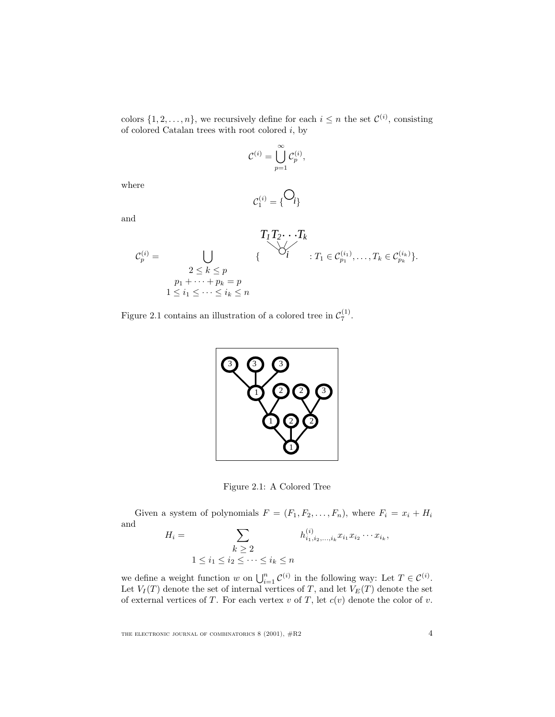colors  $\{1, 2, ..., n\}$ , we recursively define for each  $i \leq n$  the set  $\mathcal{C}^{(i)}$ , consisting of colored Catalan trees with root colored  $i$ , by

$$
\mathcal{C}^{(i)} = \bigcup_{p=1}^{\infty} \mathcal{C}_p^{(i)},
$$

 $C_1^{(i)} = \{ \begin{matrix} \bigcup_i \end{matrix}$ 

where

and

$$
T_1 T_2 \cdots T_k
$$
  
\n
$$
C_p^{(i)} = \bigcup_{\substack{2 \le k \le p \\ p_1 + \cdots + p_k = p \\ 1 \le i_1 \le \cdots \le i_k \le n}} \{ \bigvee_{i=1}^{j} \{ \bigvee_{i=1}^{j} \{ \bigvee_{j=1}^{j} \} \{ \bigvee_{i=1}^{j} \{ \bigvee_{j=1}^{j} \} \} \}.
$$





Figure 2.1: A Colored Tree

Given a system of polynomials  $F = (F_1, F_2, \ldots, F_n)$ , where  $F_i = x_i + H_i$ and  $\langle i \rangle$ 

$$
H_i = \sum_{\substack{k \geq 2 \\ 1 \leq i_1 \leq i_2 \leq \cdots \leq i_k \leq n}} h_{i_1, i_2, \ldots, i_k}^{(i)} x_{i_1} x_{i_2} \cdots x_{i_k},
$$

we define a weight function w on  $\bigcup_{i=1}^n C^{(i)}$  in the following way: Let  $T \in C^{(i)}$ . Let  $V_I(T)$  denote the set of internal vertices of T, and let  $V_E(T)$  denote the set of external vertices of T. For each vertex v of T, let  $c(v)$  denote the color of v.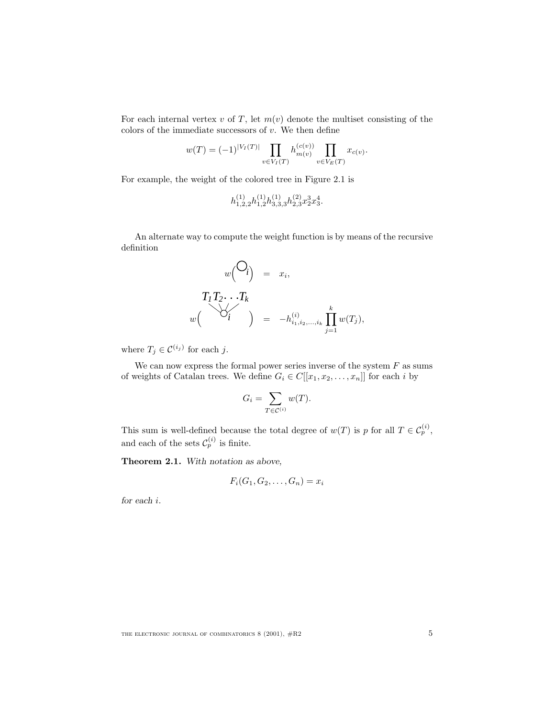For each internal vertex v of T, let  $m(v)$  denote the multiset consisting of the colors of the immediate successors of  $v$ . We then define

$$
w(T) = (-1)^{|V_I(T)|} \prod_{v \in V_I(T)} h_{m(v)}^{(c(v))} \prod_{v \in V_E(T)} x_{c(v)}.
$$

For example, the weight of the colored tree in Figure 2.1 is

$$
h_{1,2,2}^{(1)}h_{1,2}^{(1)}h_{3,3,3}^{(1)}h_{2,3}^{(2)}x_2^3x_3^4.
$$

An alternate way to compute the weight function is by means of the recursive definition

$$
w\begin{pmatrix} \bigcirc_i \\ i \bigcirc_j \bigcirc_j = x_i, \\ \bigcirc_i' \bigcirc_j = -h_{i_1, i_2, \dots, i_k} \prod_{j=1}^k w(T_j), \end{pmatrix}
$$

where  $T_j \in \mathcal{C}^{(i_j)}$  for each j.

We can now express the formal power series inverse of the system  $F$  as sums of weights of Catalan trees. We define  $G_i \in C[[x_1, x_2, \ldots, x_n]]$  for each i by

$$
G_i = \sum_{T \in \mathcal{C}^{(i)}} w(T).
$$

This sum is well-defined because the total degree of  $w(T)$  is p for all  $T \in C_p^{(i)}$ , and each of the sets  $\mathcal{C}_p^{(i)}$  is finite.

**Theorem 2.1.** *With notation as above,*

$$
F_i(G_1, G_2, \ldots, G_n) = x_i
$$

*for each* i*.*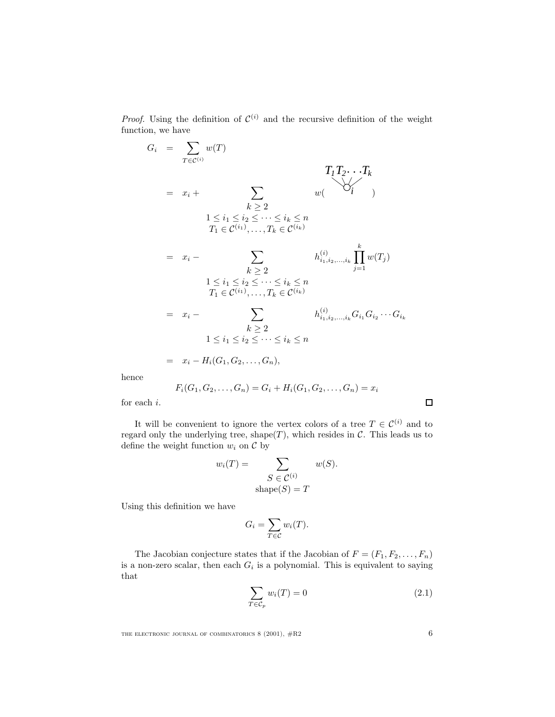*Proof.* Using the definition of  $\mathcal{C}^{(i)}$  and the recursive definition of the weight function, we have

$$
G_{i} = \sum_{T \in \mathcal{C}^{(i)}} w(T)
$$
  
\n
$$
T_{1}T_{2} \cdots T_{k}
$$
  
\n
$$
= x_{i} + \sum_{k \geq 2} w(\sum_{i} i_{j})
$$
  
\n
$$
T_{1}T_{2} \cdots T_{k}
$$
  
\n
$$
= x_{i} - \sum_{k \geq 2} h_{i_{1},i_{2},...,i_{k}}^{(i)} \prod_{j=1}^{k} w(T_{j})
$$
  
\n
$$
= x_{i} - \sum_{k \geq 2} h_{i_{1},i_{2},...,i_{k}}^{(i)} \prod_{j=1}^{k} w(T_{j})
$$
  
\n
$$
= x_{i} - \sum_{k \geq 2} h_{i_{1},i_{2},...,i_{k}}^{(i)} G_{i_{1}} G_{i_{2}} \cdots G_{i_{k}}
$$
  
\n
$$
= x_{i} - \sum_{k \geq 2} h_{i_{1},i_{2},...,i_{k}}^{(i)} G_{i_{1}} G_{i_{2}} \cdots G_{i_{k}}
$$
  
\n
$$
= x_{i} - H_{i}(G_{1}, G_{2},..., G_{n}),
$$

hence

$$
F_i(G_1, G_2, \ldots, G_n) = G_i + H_i(G_1, G_2, \ldots, G_n) = x_i
$$

for each  $i.$ 

It will be convenient to ignore the vertex colors of a tree  $T \in \mathcal{C}^{(i)}$  and to regard only the underlying tree, shape(T), which resides in  $\mathcal C$ . This leads us to define the weight function  $w_i$  on  $\mathcal C$  by

$$
w_i(T) = \sum_{\substack{S \in \mathcal{C}^{(i)} \\ \text{shape}(S) = T}} w(S).
$$

Using this definition we have

$$
G_i = \sum_{T \in \mathcal{C}} w_i(T).
$$

The Jacobian conjecture states that if the Jacobian of  $F = (F_1, F_2, \ldots, F_n)$ is a non-zero scalar, then each  $G_i$  is a polynomial. This is equivalent to saying that

$$
\sum_{T \in \mathcal{C}_p} w_i(T) = 0 \tag{2.1}
$$

THE ELECTRONIC JOURNAL OF COMBINATORICS  $8$  (2001),  $\#R2$  6

 $\Box$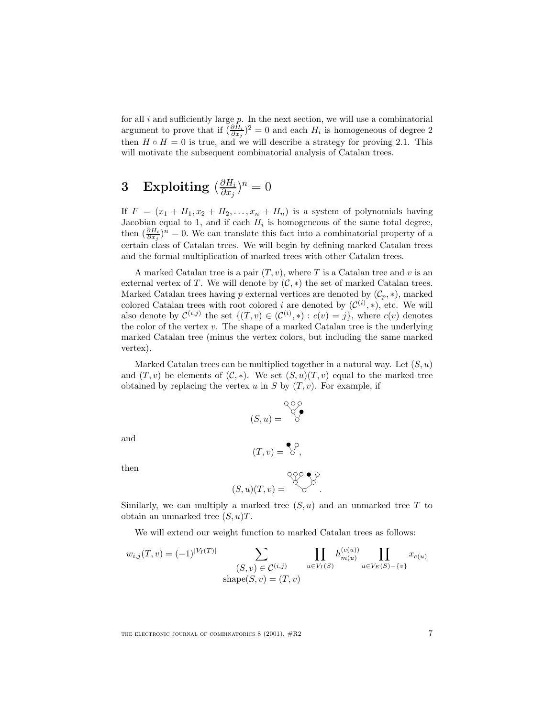for all  $i$  and sufficiently large  $p$ . In the next section, we will use a combinatorial argument to prove that if  $(\frac{\partial H_i}{\partial x_j})^2 = 0$  and each  $H_i$  is homogeneous of degree 2 then  $H \circ H = 0$  is true, and we will describe a strategy for proving 2.1. This will motivate the subsequent combinatorial analysis of Catalan trees.

# $3 \quad \text{Exploiting } (\frac{\partial H_i}{\partial x_j})^n = 0$

If  $F = (x_1 + H_1, x_2 + H_2, \ldots, x_n + H_n)$  is a system of polynomials having Jacobian equal to 1, and if each  $H_i$  is homogeneous of the same total degree, then  $(\frac{\partial H_i}{\partial x_j})^n = 0$ . We can translate this fact into a combinatorial property of a certain class of Catalan trees. We will begin by defining marked Catalan trees and the formal multiplication of marked trees with other Catalan trees.

A marked Catalan tree is a pair  $(T, v)$ , where T is a Catalan tree and v is an external vertex of T. We will denote by  $(C, *)$  the set of marked Catalan trees. Marked Catalan trees having p external vertices are denoted by  $(\mathcal{C}_p, *),$  marked colored Catalan trees with root colored i are denoted by  $(\mathcal{C}^{(i)}, *)$ , etc. We will also denote by  $\mathcal{C}^{(i,j)}$  the set  $\{(T,v) \in (\mathcal{C}^{(i)}, *) : c(v) = j\}$ , where  $c(v)$  denotes the color of the vertex  $v$ . The shape of a marked Catalan tree is the underlying marked Catalan tree (minus the vertex colors, but including the same marked vertex).

Marked Catalan trees can be multiplied together in a natural way. Let  $(S, u)$ and  $(T, v)$  be elements of  $(C, *)$ . We set  $(S, u)(T, v)$  equal to the marked tree obtained by replacing the vertex u in S by  $(T, v)$ . For example, if

$$
(S, u) = \bigotimes^{\mathcal{Q} \setminus \mathcal{Q}} \mathcal{C}
$$

and

$$
(T,v)=\bigotimes^{\mathcal{O}}\, ,
$$

then

$$
(S, u)(T, v) = \bigotimes^{\mathbb{Q}_p^{\mathbb{Q}_p} \otimes \mathbb{Q}_p^{\mathbb{Q}_p}}.
$$

Similarly, we can multiply a marked tree  $(S, u)$  and an unmarked tree T to obtain an unmarked tree  $(S, u)T$ .

We will extend our weight function to marked Catalan trees as follows:

$$
w_{i,j}(T,v) = (-1)^{|V_I(T)|} \sum_{\substack{(S,v) \in C^{(i,j)} \\ \text{shape}(S,v) = (T,v)}} \prod_{u \in V_I(S)} h_{m(u)}^{(c(u))} \prod_{u \in V_E(S) - \{v\}} x_{c(u)}
$$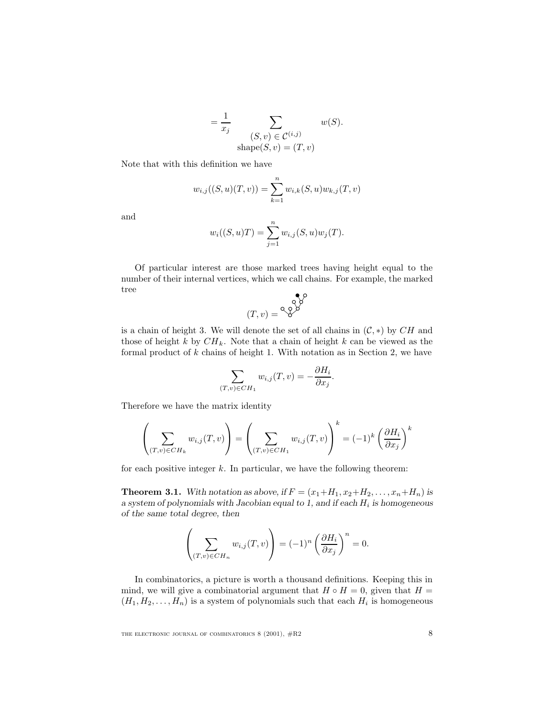$$
= \frac{1}{x_j} \sum_{\substack{(S,v) \in \mathcal{C}^{(i,j)} \\ \text{shape}(S,v) = (T,v)}} w(S).
$$

Note that with this definition we have

$$
w_{i,j}((S, u)(T, v)) = \sum_{k=1}^{n} w_{i,k}(S, u) w_{k,j}(T, v)
$$

and

$$
w_i((S, u)T) = \sum_{j=1}^n w_{i,j}(S, u)w_j(T).
$$

Of particular interest are those marked trees having height equal to the number of their internal vertices, which we call chains. For example, the marked tree b

$$
(T, v) = \overset{\circ}{\diamond} \overset{\circ}{\diamond} \overset{\circ}{\diamond}
$$

is a chain of height 3. We will denote the set of all chains in  $(C, *)$  by  $CH$  and those of height  $k$  by  $CH_k$ . Note that a chain of height  $k$  can be viewed as the formal product of  $k$  chains of height 1. With notation as in Section 2, we have

$$
\sum_{(T,v)\in CH_1} w_{i,j}(T,v) = -\frac{\partial H_i}{\partial x_j}.
$$

Therefore we have the matrix identity

$$
\left(\sum_{(T,v)\in CH_k} w_{i,j}(T,v)\right) = \left(\sum_{(T,v)\in CH_1} w_{i,j}(T,v)\right)^k = (-1)^k \left(\frac{\partial H_i}{\partial x_j}\right)^k
$$

for each positive integer  $k$ . In particular, we have the following theorem:

**Theorem 3.1.** With notation as above, if  $F = (x_1 + H_1, x_2 + H_2, \ldots, x_n + H_n)$  is *a system of polynomials with Jacobian equal to 1, and if each*  $H_i$  *is homogeneous of the same total degree, then*

$$
\left(\sum_{(T,v)\in CH_n} w_{i,j}(T,v)\right) = (-1)^n \left(\frac{\partial H_i}{\partial x_j}\right)^n = 0.
$$

In combinatorics, a picture is worth a thousand definitions. Keeping this in mind, we will give a combinatorial argument that  $H \circ H = 0$ , given that  $H =$  $(H_1, H_2, \ldots, H_n)$  is a system of polynomials such that each  $H_i$  is homogeneous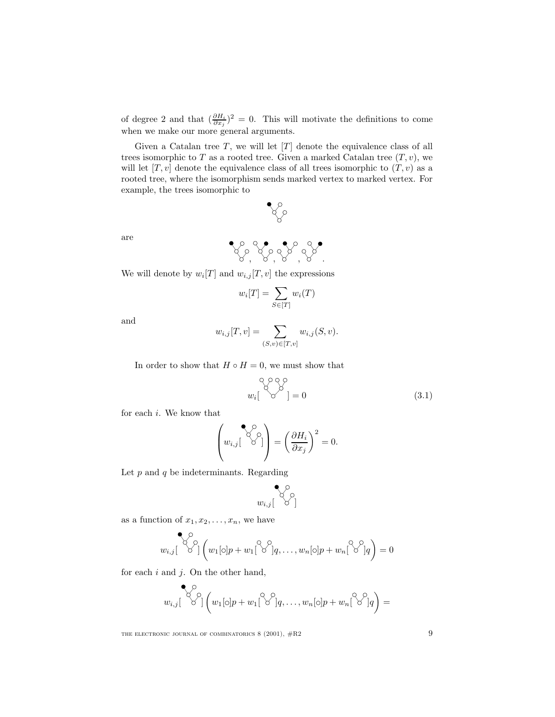of degree 2 and that  $(\frac{\partial H_i}{\partial x_j})^2 = 0$ . This will motivate the definitions to come when we make our more general arguments.

Given a Catalan tree  $T$ , we will let  $[T]$  denote the equivalence class of all trees isomorphic to T as a rooted tree. Given a marked Catalan tree  $(T, v)$ , we will let  $[T, v]$  denote the equivalence class of all trees isomorphic to  $(T, v)$  as a rooted tree, where the isomorphism sends marked vertex to marked vertex. For example, the trees isomorphic to

$$
\textbf{P}_{\text{S}}^{\text{S}}
$$

are

$$
\mathcal{C}_{\mathcal{S},\mathcal{S}}\mathcal{C}_{\mathcal{S},\mathcal{S}}\mathcal{C}_{\mathcal{S},\mathcal{S}}\mathcal{C}_{\mathcal{S}}
$$

We will denote by  $w_i[T]$  and  $w_{i,j}[T,v]$  the expressions

$$
w_i[T] = \sum_{S \in [T]} w_i(T)
$$

and

$$
w_{i,j}[T,v] = \sum_{(S,v) \in [T,v]} w_{i,j}(S,v).
$$

In order to show that  $H \circ H = 0$ , we must show that

$$
\begin{bmatrix} \circ \circ \circ \circ \\ \circ \circ' \end{bmatrix} = 0 \tag{3.1}
$$

for each i. We know that

$$
\left(w_{i,j}\begin{bmatrix} \mathcal{S}^{\circlearrowleft}_{\circlearrowleft} \\ \mathcal{S}^{\circlearrowright} \end{bmatrix}\right) = \left(\frac{\partial H_i}{\partial x_j}\right)^2 = 0.
$$

Let  $p$  and  $q$  be indeterminants. Regarding

$$
\bigotimes_{w_{i,j}[\phantom{a} \otimes \phantom{a} \otimes \phantom{a}]}^{\bullet \bullet}
$$

as a function of  $x_1, x_2, \ldots, x_n$ , we have

$$
w_{i,j} \begin{bmatrix} \diamondsuit \diamondsuit \\ \diamondsuit' \end{bmatrix} \left( w_1[\circ]p + w_1 \begin{bmatrix} \diamondsuit \diamondsuit \\ q, \dots, w_n[\circ]p + w_n \end{bmatrix} \begin{bmatrix} \diamondsuit \diamondsuit \\ q \end{bmatrix} q \right) = 0
$$

for each  $i$  and  $j$ . On the other hand,

$$
\bigotimes_{w_{i,j}} \bigotimes^{\mathcal{O}}_{j} \left( w_{1}[\circ] p + w_{1} \bigotimes^{\mathcal{O}}_{j} q, \ldots, w_{n}[\circ] p + w_{n} \bigotimes^{\mathcal{O}}_{j} q \right) =
$$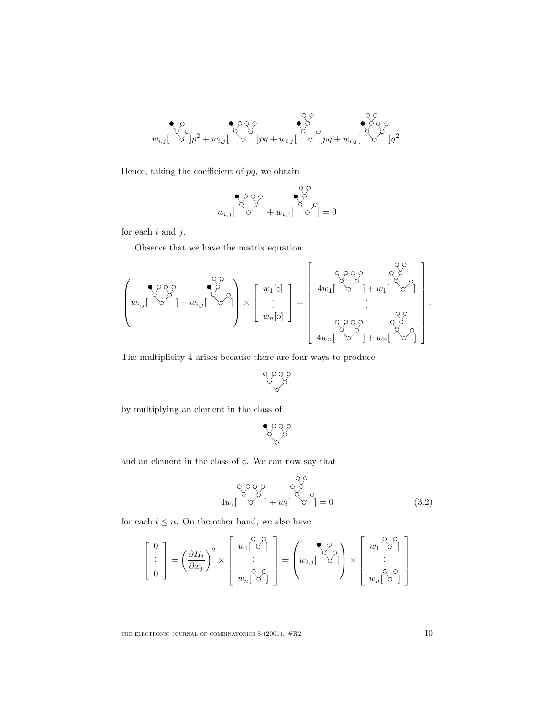

Hence, taking the coefficient of  $pq$ , we obtain

$$
\bigotimes_{w_{i,j}} \bigotimes^{\mathcal{O}} \bigotimes^{\mathcal{O}}_{j} + w_{i,j} [\bigotimes^{\mathcal{O}}_{j}]=0
$$

for each  $i$  and  $j$ .

Observe that we have the matrix equation

$$
\left(w_{i,j}\begin{bmatrix} \sqrt[n]{\sqrt[n]{\zeta}} \\ \sqrt[n]{\zeta} \end{bmatrix} + w_{i,j}\begin{bmatrix} \sqrt[n]{\zeta} \\ \sqrt[n]{\zeta} \end{bmatrix}\right) \times \begin{bmatrix} w_1[\circ] \\ \vdots \\ w_n[\circ] \end{bmatrix} = \begin{bmatrix} \sqrt[n]{\zeta} \begin{bmatrix} \sqrt[n]{\zeta} \\ \sqrt[n]{\zeta} \\ \vdots \\ \sqrt[n]{\zeta} \end{bmatrix} + w_1\begin{bmatrix} \sqrt[n]{\zeta} \\ \sqrt[n]{\zeta} \end{bmatrix} \\ \vdots \\ 4w_n\begin{bmatrix} \sqrt[n]{\zeta} \\ \sqrt[n]{\zeta} \end{bmatrix} + w_n\begin{bmatrix} \sqrt[n]{\zeta} \\ \sqrt[n]{\zeta} \end{bmatrix} \end{bmatrix}.
$$

The multiplicity 4 arises because there are four ways to produce

888

by multiplying an element in the class of

$$
\mathcal{L}^{\mathcal{S}}
$$

and an element in the class of  $\circ$ . We can now say that

$$
\begin{array}{c}\n 8 \times 8 \\
 4w_i \begin{bmatrix} 8 \\
 6\n \end{bmatrix} + w_i \begin{bmatrix} 8 \\
 6\n \end{bmatrix} = 0\n \end{array}
$$
\n(3.2)

for each  $i \leq n$ . On the other hand, we also have

$$
\begin{bmatrix} 0 \\ \vdots \\ 0 \end{bmatrix} = \left(\frac{\partial H_i}{\partial x_j}\right)^2 \times \begin{bmatrix} w_1[^{\diamondsuit} {\diamondsuit}^{\circ}] \\ \vdots \\ w_n[^{\diamondsuit} {\diamondsuit}^{\circ}] \end{bmatrix} = \left(w_{i,j}[^{\diamondsuit} {\diamondsuit}^{\circ}] \right) \times \begin{bmatrix} w_1[^{\diamondsuit} {\diamondsuit}^{\circ}] \\ \vdots \\ w_n[^{\diamondsuit} {\diamond}^{\circ}] \end{bmatrix}
$$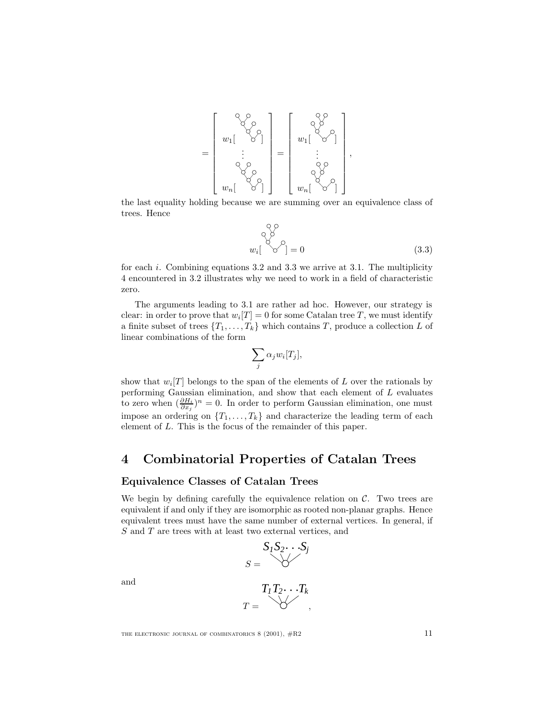

the last equality holding because we are summing over an equivalence class of trees. Hence

$$
w_i \begin{bmatrix} 0 \\ 0 \\ 0 \end{bmatrix} = 0 \tag{3.3}
$$

for each i. Combining equations  $3.2$  and  $3.3$  we arrive at  $3.1$ . The multiplicity 4 encountered in 3.2 illustrates why we need to work in a field of characteristic zero.

The arguments leading to 3.1 are rather ad hoc. However, our strategy is clear: in order to prove that  $w_i[T] = 0$  for some Catalan tree T, we must identify a finite subset of trees  $\{T_1,\ldots,T_k\}$  which contains T, produce a collection L of linear combinations of the form

$$
\sum_j \alpha_j w_i[T_j],
$$

show that  $w_i[T]$  belongs to the span of the elements of L over the rationals by performing Gaussian elimination, and show that each element of L evaluates to zero when  $(\frac{\partial H_i}{\partial x_j})^n = 0$ . In order to perform Gaussian elimination, one must impose an ordering on  $\{T_1,\ldots,T_k\}$  and characterize the leading term of each element of L. This is the focus of the remainder of this paper.

## **4 Combinatorial Properties of Catalan Trees**

#### **Equivalence Classes of Catalan Trees**

We begin by defining carefully the equivalence relation on  $\mathcal{C}$ . Two trees are equivalent if and only if they are isomorphic as rooted non-planar graphs. Hence equivalent trees must have the same number of external vertices. In general, if S and T are trees with at least two external vertices, and

$$
S_1S_2\cdots S_j
$$

$$
S = \bigvee
$$

and

$$
T_1T_2\cdots T_k
$$
  

$$
T = \bigotimes Y
$$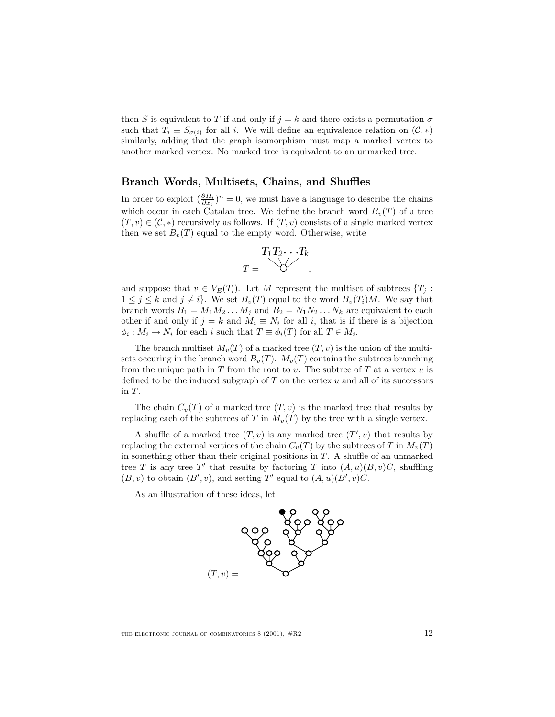then S is equivalent to T if and only if  $j = k$  and there exists a permutation  $\sigma$ such that  $T_i \equiv S_{\sigma(i)}$  for all i. We will define an equivalence relation on  $(C, *)$ similarly, adding that the graph isomorphism must map a marked vertex to another marked vertex. No marked tree is equivalent to an unmarked tree.

#### **Branch Words, Multisets, Chains, and Shuffles**

In order to exploit  $(\frac{\partial H_i}{\partial x_j})^n = 0$ , we must have a language to describe the chains which occur in each Catalan tree. We define the branch word  $B_v(T)$  of a tree  $(T, v) \in (\mathcal{C}, *)$  recursively as follows. If  $(T, v)$  consists of a single marked vertex then we set  $B_v(T)$  equal to the empty word. Otherwise, write



and suppose that  $v \in V_E(T_i)$ . Let M represent the multiset of subtrees  $\{T_i:$  $1 \leq j \leq k$  and  $j \neq i$ . We set  $B_v(T)$  equal to the word  $B_v(T_i)M$ . We say that branch words  $B_1 = M_1 M_2 \dots M_j$  and  $B_2 = N_1 N_2 \dots N_k$  are equivalent to each other if and only if  $j = k$  and  $M_i \equiv N_i$  for all i, that is if there is a bijection  $\phi_i : M_i \to N_i$  for each i such that  $T \equiv \phi_i(T)$  for all  $T \in M_i$ .

The branch multiset  $M_v(T)$  of a marked tree  $(T, v)$  is the union of the multisets occuring in the branch word  $B_v(T)$ .  $M_v(T)$  contains the subtrees branching from the unique path in T from the root to v. The subtree of T at a vertex  $u$  is defined to be the induced subgraph of  $T$  on the vertex  $u$  and all of its successors in  $T$ .

The chain  $C_v(T)$  of a marked tree  $(T, v)$  is the marked tree that results by replacing each of the subtrees of T in  $M_v(T)$  by the tree with a single vertex.

A shuffle of a marked tree  $(T, v)$  is any marked tree  $(T', v)$  that results by replacing the external vertices of the chain  $C_v(T)$  by the subtrees of T in  $M_v(T)$ in something other than their original positions in  $T$ . A shuffle of an unmarked tree T is any tree T' that results by factoring T into  $(A, u)(B, v)C$ , shuffling  $(B, v)$  to obtain  $(B', v)$ , and setting T' equal to  $(A, u)(B', v)C$ .

As an illustration of these ideas, let

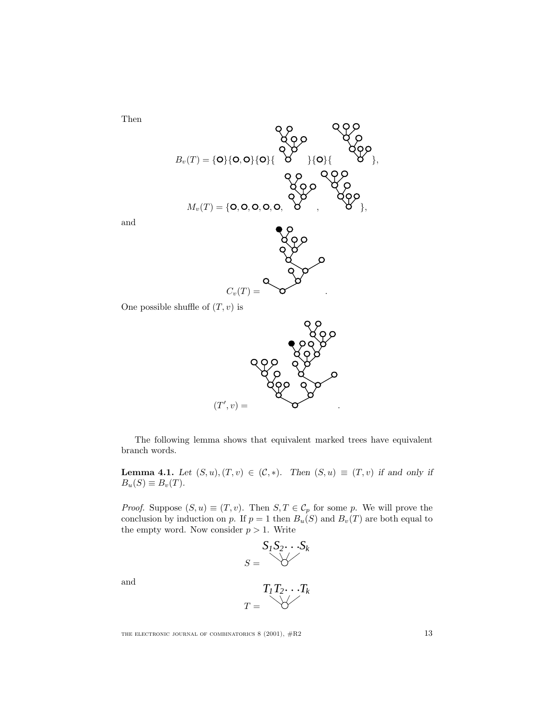$B_v(T) = \{O\}\{O, O\}\{O\}\{\begin{matrix}O & O \\ O & O \end{matrix}\}\{O\}$  $M_v(T) = \{$ **O**, **O**, **O**, **O**, **O**,  $C_v(T) =$ 

and

Then

One possible shuffle of  $(T, v)$  is



The following lemma shows that equivalent marked trees have equivalent branch words.

**Lemma 4.1.** *Let*  $(S, u), (T, v) \in (\mathcal{C}, *)$ *. Then*  $(S, u) \equiv (T, v)$  *if and only if*  $B_u(S) \equiv B_v(T)$ .

*Proof.* Suppose  $(S, u) \equiv (T, v)$ . Then  $S, T \in C_p$  for some p. We will prove the conclusion by induction on p. If  $p = 1$  then  $B_u(S)$  and  $B_v(T)$  are both equal to the empty word. Now consider  $p > 1$ . Write



and

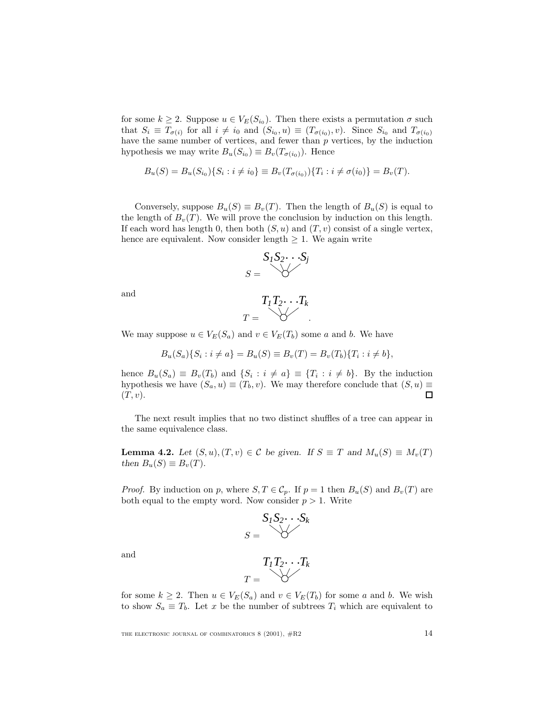for some  $k \geq 2$ . Suppose  $u \in V_E(S_{i_0})$ . Then there exists a permutation  $\sigma$  such that  $S_i \equiv T_{\sigma(i)}$  for all  $i \neq i_0$  and  $(S_{i_0},u) \equiv (T_{\sigma(i_0)},v)$ . Since  $S_{i_0}$  and  $T_{\sigma(i_0)}$ have the same number of vertices, and fewer than  $p$  vertices, by the induction hypothesis we may write  $B_u(S_{i_0}) \equiv B_v(T_{\sigma(i_0)})$ . Hence

$$
B_u(S) = B_u(S_{i_0})\{S_i : i \neq i_0\} \equiv B_v(T_{\sigma(i_0)})\{T_i : i \neq \sigma(i_0)\} = B_v(T).
$$

Conversely, suppose  $B_u(S) \equiv B_v(T)$ . Then the length of  $B_u(S)$  is equal to the length of  $B_v(T)$ . We will prove the conclusion by induction on this length. If each word has length 0, then both  $(S, u)$  and  $(T, v)$  consist of a single vertex, hence are equivalent. Now consider length  $\geq 1$ . We again write

$$
S_1S_2\cdots S_j
$$

$$
S = \bigvee
$$

and

$$
T_1T_2\cdots T_k
$$

$$
T = \bigotimes T
$$

We may suppose  $u \in V_E(S_a)$  and  $v \in V_E(T_b)$  some a and b. We have

$$
B_u(S_a)\{S_i : i \neq a\} = B_u(S) \equiv B_v(T) = B_v(T_b)\{T_i : i \neq b\},\
$$

hence  $B_u(S_a) \equiv B_v(T_b)$  and  $\{S_i : i \neq a\} \equiv \{T_i : i \neq b\}$ . By the induction hypothesis we have  $(S_a, u) \equiv (T_b, v)$ . We may therefore conclude that  $(S, u) \equiv$  $(T,v).$  $\Box$ 

The next result implies that no two distinct shuffles of a tree can appear in the same equivalence class.

**Lemma 4.2.** *Let*  $(S, u), (T, v) \in \mathcal{C}$  *be given.* If  $S \equiv T$  *and*  $M_u(S) \equiv M_v(T)$ *then*  $B_u(S) \equiv B_v(T)$ *.* 

*Proof.* By induction on p, where  $S, T \in \mathcal{C}_p$ . If  $p = 1$  then  $B_u(S)$  and  $B_v(T)$  are both equal to the empty word. Now consider  $p > 1$ . Write



and

$$
T_1T_2\cdots T_k
$$

$$
T = \bigvee T
$$

for some  $k \geq 2$ . Then  $u \in V_E(S_a)$  and  $v \in V_E(T_b)$  for some a and b. We wish to show  $S_a \equiv T_b$ . Let x be the number of subtrees  $T_i$  which are equivalent to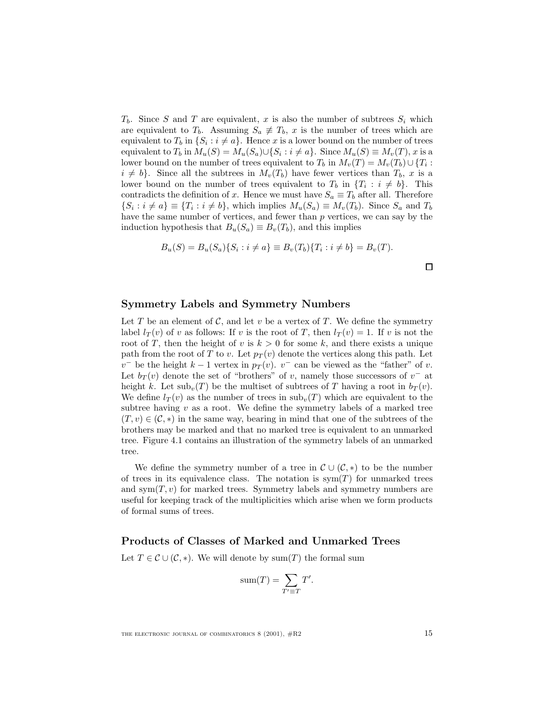$T_b$ . Since S and T are equivalent, x is also the number of subtrees  $S_i$  which are equivalent to  $T_b$ . Assuming  $S_a \neq T_b$ , x is the number of trees which are equivalent to  $T_b$  in  $\{S_i : i \neq a\}$ . Hence x is a lower bound on the number of trees equivalent to  $T_b$  in  $M_u(S) = M_u(S_a) \cup \{S_i : i \neq a\}$ . Since  $M_u(S) \equiv M_v(T)$ , x is a lower bound on the number of trees equivalent to  $T_b$  in  $M_v(T) = M_v(T_b) \cup \{T_i :$  $i \neq b$ . Since all the subtrees in  $M_v(T_b)$  have fewer vertices than  $T_b$ , x is a lower bound on the number of trees equivalent to  $T_b$  in  $\{T_i : i \neq b\}$ . This contradicts the definition of x. Hence we must have  $S_a \equiv T_b$  after all. Therefore  $\{S_i : i \neq a\} \equiv \{T_i : i \neq b\}$ , which implies  $M_u(S_a) \equiv M_v(T_b)$ . Since  $S_a$  and  $T_b$ have the same number of vertices, and fewer than p vertices, we can say by the induction hypothesis that  $B_u(S_a) \equiv B_v(T_b)$ , and this implies

$$
B_u(S) = B_u(S_a) \{ S_i : i \neq a \} \equiv B_v(T_b) \{ T_i : i \neq b \} = B_v(T).
$$

 $\Box$ 

#### **Symmetry Labels and Symmetry Numbers**

Let T be an element of C, and let v be a vertex of T. We define the symmetry label  $l_T(v)$  of v as follows: If v is the root of T, then  $l_T(v) = 1$ . If v is not the root of T, then the height of v is  $k > 0$  for some k, and there exists a unique path from the root of T to v. Let  $p_T(v)$  denote the vertices along this path. Let  $v^-$  be the height  $k-1$  vertex in  $p_T(v)$ .  $v^-$  can be viewed as the "father" of v. Let  $b_T(v)$  denote the set of "brothers" of v, namely those successors of v<sup>-</sup> at height k. Let  $\text{sub}_v(T)$  be the multiset of subtrees of T having a root in  $b_T(v)$ . We define  $l_T(v)$  as the number of trees in  $\text{sub}_v(T)$  which are equivalent to the subtree having  $v$  as a root. We define the symmetry labels of a marked tree  $(T, v) \in (\mathcal{C}, *)$  in the same way, bearing in mind that one of the subtrees of the brothers may be marked and that no marked tree is equivalent to an unmarked tree. Figure 4.1 contains an illustration of the symmetry labels of an unmarked tree.

We define the symmetry number of a tree in  $\mathcal{C} \cup (\mathcal{C}, *)$  to be the number of trees in its equivalence class. The notation is  $sym(T)$  for unmarked trees and sym $(T, v)$  for marked trees. Symmetry labels and symmetry numbers are useful for keeping track of the multiplicities which arise when we form products of formal sums of trees.

#### **Products of Classes of Marked and Unmarked Trees**

Let  $T \in \mathcal{C} \cup (\mathcal{C}, *)$ . We will denote by sum $(T)$  the formal sum

$$
sum(T) = \sum_{T' \equiv T} T'.
$$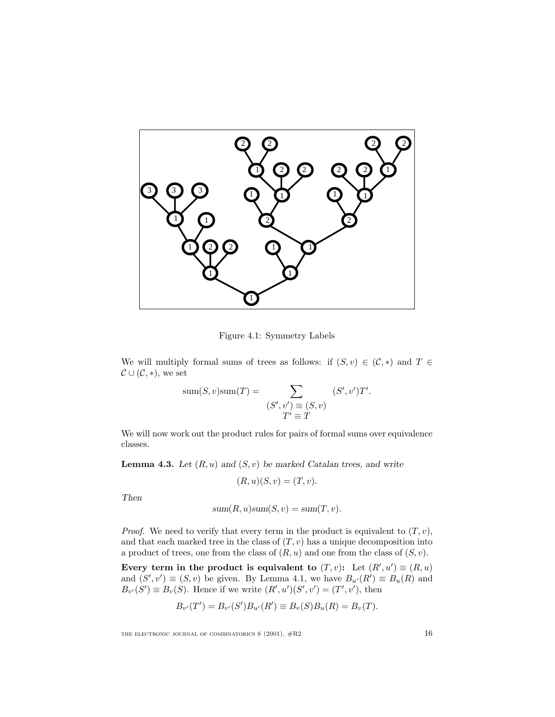

Figure 4.1: Symmetry Labels

We will multiply formal sums of trees as follows: if  $(S, v) \in (\mathcal{C}, *)$  and  $T \in$  $\mathcal{C} \cup (\mathcal{C}, *)$ , we set

sum(S, v)sum(T) = 
$$
\sum_{\substack{(S', v') \equiv (S, v) \\ T' \equiv T}} (S', v')T'.
$$

We will now work out the product rules for pairs of formal sums over equivalence classes.

**Lemma 4.3.** *Let*  $(R, u)$  *and*  $(S, v)$  *be marked Catalan trees, and write* 

$$
(R, u)(S, v) = (T, v).
$$

*Then*

$$
sum(R, u)sum(S, v) = sum(T, v).
$$

*Proof.* We need to verify that every term in the product is equivalent to  $(T, v)$ , and that each marked tree in the class of  $(T, v)$  has a unique decomposition into a product of trees, one from the class of  $(R, u)$  and one from the class of  $(S, v)$ .

**Every term in the product is equivalent to**  $(T, v)$ **:** Let  $(R', u') \equiv (R, u)$ and  $(S', v') \equiv (S, v)$  be given. By Lemma 4.1, we have  $B_{u'}(R') \equiv B_u(R)$  and  $B_{v'}(S') \equiv B_{v}(S)$ . Hence if we write  $(R', u')(S', v') = (T', v')$ , then

$$
B_{v'}(T') = B_{v'}(S')B_{u'}(R') \equiv B_v(S)B_u(R) = B_v(T).
$$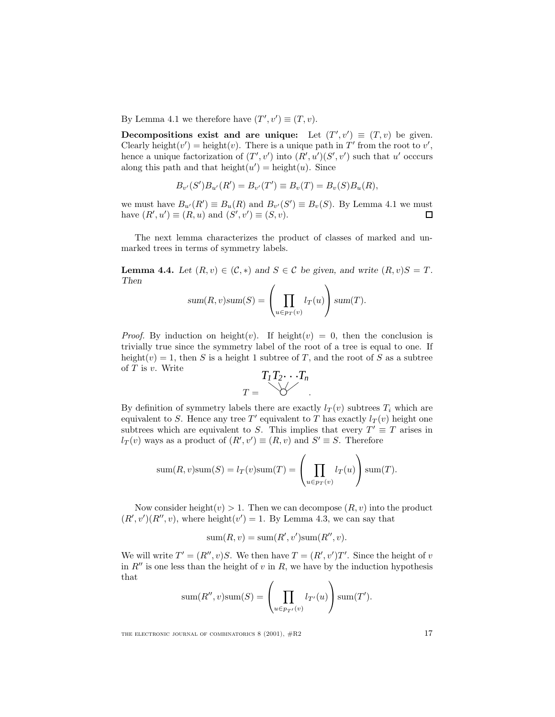By Lemma 4.1 we therefore have  $(T', v') \equiv (T, v)$ .

**Decompositions exist and are unique:** Let  $(T', v') \equiv (T, v)$  be given. Clearly height $(v')$  = height $(v)$ . There is a unique path in T' from the root to v', hence a unique factorization of  $(T', v')$  into  $(R', u')(S', v')$  such that u' occcurs along this path and that  $height(u') = height(u)$ . Since

$$
B_{v'}(S')B_{u'}(R') = B_{v'}(T') \equiv B_v(T) = B_v(S)B_u(R),
$$

we must have  $B_{u'}(R') \equiv B_u(R)$  and  $B_{v'}(S') \equiv B_v(S)$ . By Lemma 4.1 we must have  $(R', u') \equiv (R, u)$  and  $(S', v') \equiv (S, v)$ .  $\Box$ 

The next lemma characterizes the product of classes of marked and unmarked trees in terms of symmetry labels.

**Lemma 4.4.** *Let*  $(R, v) \in (\mathcal{C}, *)$  *and*  $S \in \mathcal{C}$  *be given, and write*  $(R, v)S = T$ *. Then*  $\overline{ }$  $\overline{ }$ 

sum
$$
(R, v)
$$
sum $(S)$  =  $\left(\prod_{u \in p_T(v)} l_T(u)\right)$ sum $(T)$ .

*Proof.* By induction on height(v). If height(v) = 0, then the conclusion is trivially true since the symmetry label of the root of a tree is equal to one. If height(v) = 1, then S is a height 1 subtree of T, and the root of S as a subtree of  $T$  is  $v$ . Write

$$
T_1T_2\cdots T_n
$$

$$
T = \bigotimes T
$$

By definition of symmetry labels there are exactly  $l_T(v)$  subtrees  $T_i$  which are equivalent to S. Hence any tree T' equivalent to T has exactly  $l_T (v)$  height one subtrees which are equivalent to S. This implies that every  $T' \equiv T$  arises in  $l_T(v)$  ways as a product of  $(R', v') \equiv (R, v)$  and  $S' \equiv S$ . Therefore

sum
$$
(R, v)
$$
sum $(S) = l_T(v)$ sum $(T) = \left(\prod_{u \in p_T(v)} l_T(u)\right)$ sum $(T)$ .

Now consider height $(v) > 1$ . Then we can decompose  $(R, v)$  into the product  $(R', v')(R'', v)$ , where height $(v') = 1$ . By Lemma 4.3, we can say that

$$
sum(R, v) = sum(R', v')sum(R'', v).
$$

We will write  $T' = (R'', v)S$ . We then have  $T = (R', v')T'$ . Since the height of v in  $R''$  is one less than the height of v in R, we have by the induction hypothesis that

sum
$$
(R'', v)
$$
sum $(S)$  =  $\left(\prod_{u \in p_{T'}(v)} l_{T'}(u)\right)$ sum $(T')$ .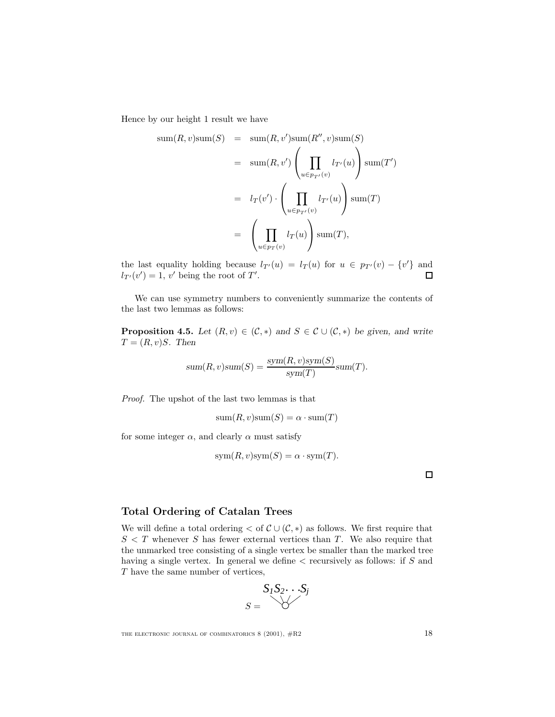Hence by our height 1 result we have

$$
sum(R, v)sum(S) = sum(R, v')sum(R'', v)sum(S)
$$
  
= 
$$
sum(R, v') \left( \prod_{u \in p_{T'}(v)} l_{T'}(u) \right)sum(T')
$$
  
= 
$$
l_T(v') \cdot \left( \prod_{u \in p_{T'}(v)} l_{T'}(u) \right)sum(T)
$$
  
= 
$$
\left( \prod_{u \in p_{T}(v)} l_T(u) \right)sum(T),
$$

the last equality holding because  $l_{T}(u) = l_T(u)$  for  $u \in p_{T}(v) - \{v'\}$  and  $l_{T'}(v') = 1, v'$  being the root of T'.  $\Box$ 

We can use symmetry numbers to conveniently summarize the contents of the last two lemmas as follows:

**Proposition 4.5.** *Let*  $(R, v) \in (\mathcal{C}, *)$  *and*  $S \in \mathcal{C} \cup (\mathcal{C}, *)$  *be given, and write*  $T = (R, v)S$ . Then

$$
sum(R, v)sum(S) = \frac{sym(R, v)sym(S)}{sym(T)}sum(T).
$$

Proof. The upshot of the last two lemmas is that

 $sum(R, v)sum(S) = \alpha \cdot sum(T)$ 

for some integer  $\alpha$ , and clearly  $\alpha$  must satisfy

$$
sym(R, v) sym(S) = \alpha \cdot sym(T).
$$

 $\Box$ 

#### **Total Ordering of Catalan Trees**

We will define a total ordering  $\lt$  of  $\mathcal{C} \cup (\mathcal{C}, *)$  as follows. We first require that  $S < T$  whenever S has fewer external vertices than T. We also require that the unmarked tree consisting of a single vertex be smaller than the marked tree having a single vertex. In general we define  $\lt$  recursively as follows: if S and T have the same number of vertices,

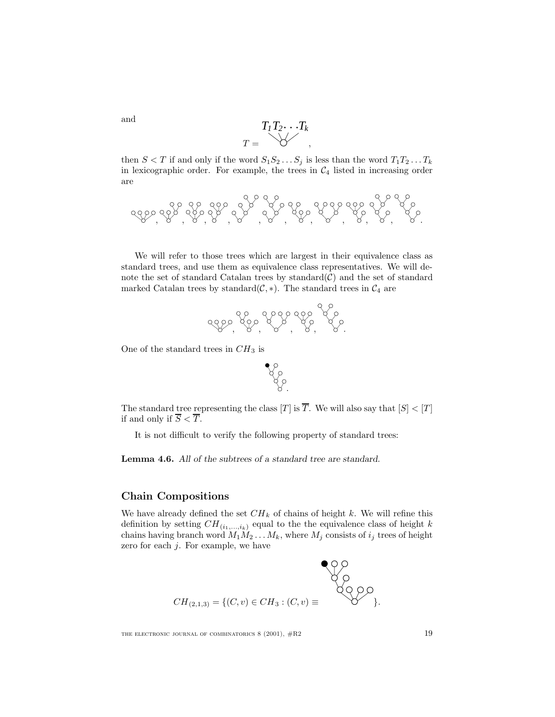$$
T_1T_2\cdots T_k
$$
  

$$
T = \bigotimes Y
$$

then  $S < T$  if and only if the word  $S_1S_2 \ldots S_j$  is less than the word  $T_1T_2 \ldots T_k$ in lexicographic order. For example, the trees in  $C_4$  listed in increasing order are

, , , , , , , , , , .

We will refer to those trees which are largest in their equivalence class as standard trees, and use them as equivalence class representatives. We will denote the set of standard Catalan trees by standard $(C)$  and the set of standard marked Catalan trees by standard( $C, *$ ). The standard trees in  $C_4$  are



One of the standard trees in  $CH_3$  is



The standard tree representing the class  $[T]$  is  $\overline{T}$ . We will also say that  $|S| < |T|$ if and only if  $\overline{S} < \overline{T}$ .

It is not difficult to verify the following property of standard trees:

**Lemma 4.6.** *All of the subtrees of a standard tree are standard.*

#### **Chain Compositions**

We have already defined the set  $CH_k$  of chains of height k. We will refine this definition by setting  $CH_{(i_1,...,i_k)}$  equal to the the equivalence class of height k chains having branch word  $M_1M_2 \ldots M_k$ , where  $M_j$  consists of  $i_j$  trees of height zero for each  $j$ . For example, we have

$$
CH_{(2,1,3)} = \{(C, v) \in CH_3 : (C, v) \equiv
$$
  $CO$ 

THE ELECTRONIC JOURNAL OF COMBINATORICS  $8(2001)$ ,  $\#R2$  19

and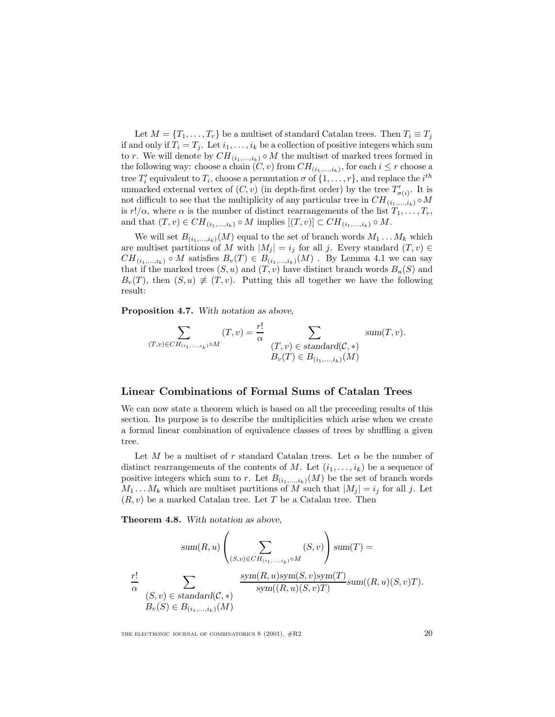Let  $M = \{T_1, \ldots, T_r\}$  be a multiset of standard Catalan trees. Then  $T_i \equiv T_j$ if and only if  $T_i = T_j$ . Let  $i_1, \ldots, i_k$  be a collection of positive integers which sum to r. We will denote by  $CH_{(i_1,...,i_k)} \circ M$  the multiset of marked trees formed in the following way: choose a chain  $(C, v)$  from  $CH_{(i_1,...,i_k)}$ , for each  $i \leq r$  choose a tree  $T_i'$  equivalent to  $T_i$ , choose a permutation  $\sigma$  of  $\{1,\ldots,r\}$ , and replace the  $i^{th}$ unmarked external vertex of  $(C, v)$  (in depth-first order) by the tree  $T'_{\sigma(i)}$ . It is not difficult to see that the multiplicity of any particular tree in  $CH_{(i_1,...,i_k)} \circ M$ is  $r!/\alpha$ , where  $\alpha$  is the number of distinct rearrangements of the list  $T_1,\ldots,T_r$ , and that  $(T, v) \in CH_{(i_1, ..., i_k)} \circ M$  implies  $[(T, v)] \subset CH_{(i_1, ..., i_k)} \circ M$ .

We will set  $B_{(i_1,...,i_k)}(M)$  equal to the set of branch words  $M_1 \dots M_k$  which are multiset partitions of M with  $|M_j| = i_j$  for all j. Every standard  $(T, v) \in$  $CH_{(i_1,...,i_k)} \circ M$  satisfies  $B_v(T) \in B_{(i_1,...,i_k)}(M)$ . By Lemma 4.1 we can say that if the marked trees  $(S, u)$  and  $(T, v)$  have distinct branch words  $B_u(S)$  and  $B_v(T)$ , then  $(S, u) \neq (T, v)$ . Putting this all together we have the following result:

**Proposition 4.7.** *With notation as above,*

$$
\sum_{\substack{(T,v)\in CH_{(i_1,\ldots,i_k)}\circ M}} (T,v) = \frac{r!}{\alpha} \sum_{\substack{(T,v)\in standard(\mathcal{C},*)\\B_v(T)\in B_{(i_1,\ldots,i_k)}(M)}} sum(T,v).
$$

#### **Linear Combinations of Formal Sums of Catalan Trees**

We can now state a theorem which is based on all the preceeding results of this section. Its purpose is to describe the multiplicities which arise when we create a formal linear combination of equivalence classes of trees by shuffling a given tree.

Let M be a multiset of r standard Catalan trees. Let  $\alpha$  be the number of distinct rearrangements of the contents of M. Let  $(i_1,\ldots,i_k)$  be a sequence of positive integers which sum to r. Let  $B_{(i_1,...,i_k)}(M)$  be the set of branch words  $M_1 \dots M_k$  which are multiset partitions of M such that  $|M_i| = i_j$  for all j. Let  $(R, v)$  be a marked Catalan tree. Let T be a Catalan tree. Then

**Theorem 4.8.** *With notation as above,*

*sum*(R,u) <sup>X</sup> (S,v)∈CH(i1,...,ik)◦M (S,v) *sum*(<sup>T</sup> ) = r! α X (S,v) ∈ *standard*(C, ∗) Bv(S) ∈ B(i1,...,ik)(M) *sym*(R,u)*sym*(S,v)*sym*(T ) *sym*((R,u)(S,v)<sup>T</sup> ) *sum*((R,u)(S,v)<sup>T</sup> ).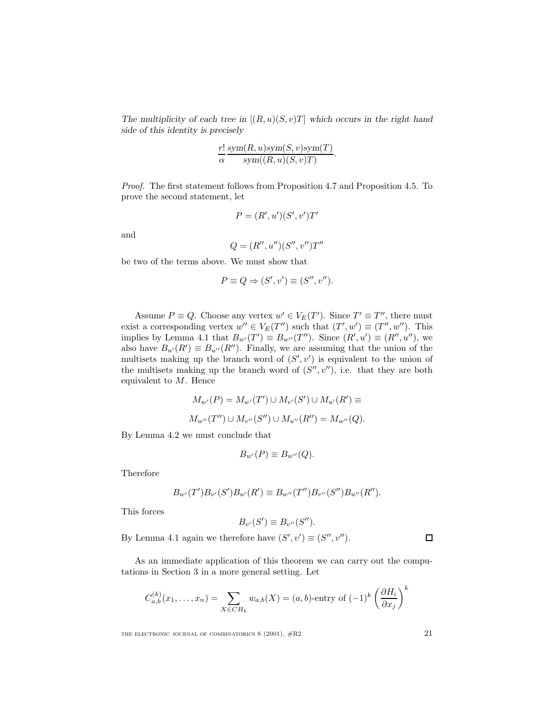The multiplicity of each tree in  $[(R, u)(S, v)T]$  which occurs in the right hand *side of this identity is precisely*

$$
\frac{r!}{\alpha} \frac{\text{sym}(R, u) \text{sym}(S, v) \text{sym}(T)}{\text{sym}((R, u)(S, v)T)}.
$$

Proof. The first statement follows from Proposition 4.7 and Proposition 4.5. To prove the second statement, let

$$
P = (R', u')(S', v')T'
$$

and

$$
Q = (R'', u'')(S'', v'')T''
$$

be two of the terms above. We must show that

$$
P \equiv Q \Rightarrow (S', v') \equiv (S'', v'').
$$

Assume  $P \equiv Q$ . Choose any vertex  $w' \in V_E(T')$ . Since  $T' \equiv T''$ , there must exist a corresponding vertex  $w'' \in V_E(T'')$  such that  $(T', w') \equiv (T'', w'')$ . This implies by Lemma 4.1 that  $B_{w'}(T') \equiv B_{w''}(T'')$ . Since  $(R', u') \equiv (R'', u'')$ , we also have  $B_{u'}(R') \equiv B_{u''}(R'')$ . Finally, we are assuming that the union of the multisets making up the branch word of  $(S', v')$  is equivalent to the union of the multisets making up the branch word of  $(S'', v'')$ , i.e. that they are both equivalent to  $M$ . Hence

$$
M_{w'}(P) = M_{w'}(T') \cup M_{v'}(S') \cup M_{u'}(R') \equiv
$$
  

$$
M_{w''}(T'') \cup M_{v''}(S'') \cup M_{u''}(R'') = M_{w''}(Q).
$$

By Lemma 4.2 we must conclude that

$$
B_{w'}(P) \equiv B_{w''}(Q).
$$

Therefore

$$
B_{w'}(T')B_{v'}(S')B_{u'}(R') \equiv B_{w''}(T'')B_{v''}(S'')B_{u''}(R'').
$$

This forces

$$
B_{v'}(S') \equiv B_{v''}(S'').
$$

By Lemma 4.1 again we therefore have  $(S', v') \equiv (S'', v'')$ .

As an immediate application of this theorem we can carry out the computations in Section 3 in a more general setting. Let

$$
C_{a,b}^{(k)}(x_1,\ldots,x_n) = \sum_{X \in CH_k} w_{a,b}(X) = (a,b)\text{-entry of } (-1)^k \left(\frac{\partial H_i}{\partial x_j}\right)^k
$$

THE ELECTRONIC JOURNAL OF COMBINATORICS  $8(2001)$ ,  $\#R2$  21

 $\Box$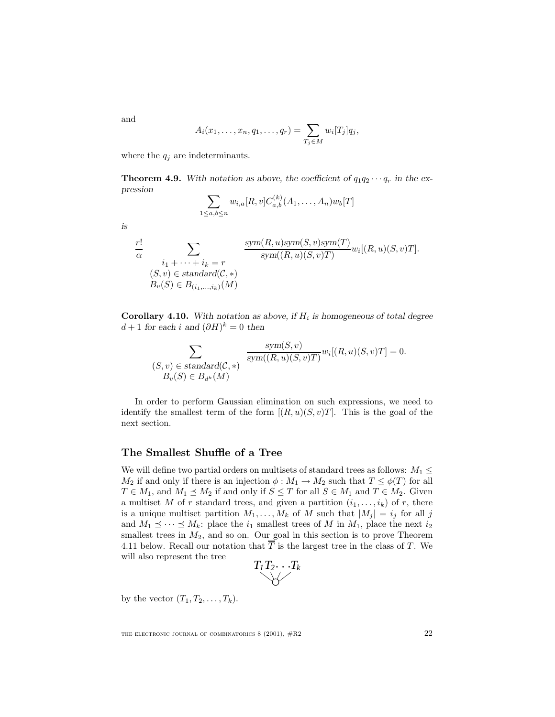$$
A_i(x_1,\ldots,x_n,q_1,\ldots,q_r)=\sum_{T_j\in M}w_i[T_j]q_j,
$$

where the  $q_j$  are indeterminants.

**Theorem 4.9.** With notation as above, the coefficient of  $q_1q_2 \cdots q_r$  in the ex*pression*

$$
\sum_{1 \le a,b \le n} w_{i,a}[R,v] C_{a,b}^{(k)}(A_1,\ldots,A_n) w_b[T]
$$

$$
is
$$

and

$$
\frac{r!}{\alpha} \sum_{\substack{i_1 + \dots + i_k = r \\ (S, v) \in standard(\mathcal{C}, *)}} \frac{\text{sym}(R, u) \text{sym}(S, v) \text{sym}(T)}{\text{sym}((R, u)(S, v) \text{TM})} w_i[(R, u)(S, v) \text{T}].
$$

**Corollary 4.10.** *With notation as above, if*  $H_i$  *is homogeneous of total degree*  $d+1$  *for each i and*  $(\partial H)^k = 0$  *then* 

$$
\sum_{\substack{(S,v) \in standard(\mathcal{C},*) \\ B_v(S) \in B_{d^k}(M)}} \frac{\text{sym}(S,v)}{\text{sym}((R,u)(S,v)T)} w_i[(R,u)(S,v)T] = 0.
$$

In order to perform Gaussian elimination on such expressions, we need to identify the smallest term of the form  $[(R, u)(S, v)T]$ . This is the goal of the next section.

#### **The Smallest Shuffle of a Tree**

We will define two partial orders on multisets of standard trees as follows:  $M_1 \leq$  $M_2$  if and only if there is an injection  $\phi : M_1 \to M_2$  such that  $T \leq \phi(T)$  for all  $T \in M_1$ , and  $M_1 \preceq M_2$  if and only if  $S \leq T$  for all  $S \in M_1$  and  $T \in M_2$ . Given a multiset M of r standard trees, and given a partition  $(i_1,...,i_k)$  of r, there is a unique multiset partition  $M_1, \ldots, M_k$  of M such that  $|M_j| = i_j$  for all j and  $M_1 \preceq \cdots \preceq M_k$ : place the  $i_1$  smallest trees of M in  $M_1$ , place the next  $i_2$ smallest trees in  $M_2$ , and so on. Our goal in this section is to prove Theorem 4.11 below. Recall our notation that  $\overline{T}$  is the largest tree in the class of T. We will also represent the tree

$$
T_1T_2\cdots T_k
$$

by the vector  $(T_1, T_2, \ldots, T_k)$ .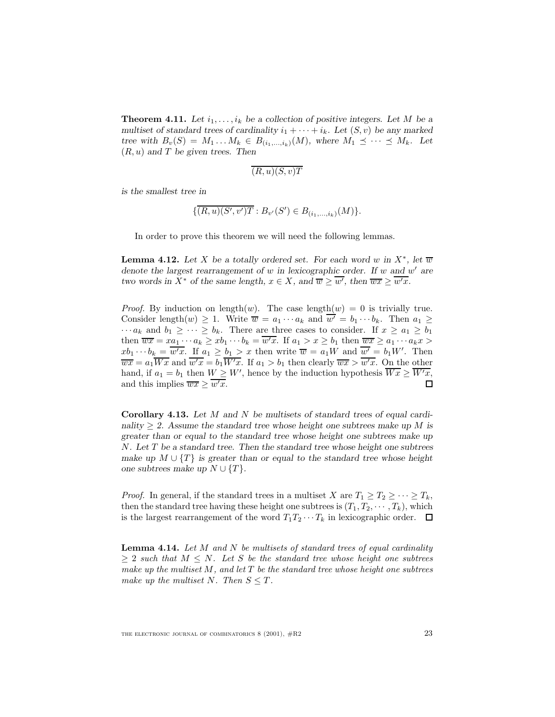**Theorem 4.11.** Let  $i_1, \ldots, i_k$  be a collection of positive integers. Let M be a *multiset of standard trees of cardinality*  $i_1 + \cdots + i_k$ *. Let*  $(S, v)$  *be any marked tree with*  $B_v(S) = M_1 \dots M_k \in B_{(i_1,\dots,i_k)}(M)$ , where  $M_1 \preceq \cdots \preceq M_k$ . Let (R,u) *and* T *be given trees. Then*

$$
\overline{(R,u)(S,v)T}
$$

*is the smallest tree in*

$$
\{ (R, u)(S', v')T : B_{v'}(S') \in B_{(i_1, ..., i_k)}(M) \}.
$$

In order to prove this theorem we will need the following lemmas.

**Lemma 4.12.** Let X be a totally ordered set. For each word w in  $X^*$ , let  $\overline{w}$ *denote the largest rearrangement of* w *in lexicographic order. If* w and w' are *two words in*  $X^*$  *of the same length,*  $x \in X$ *, and*  $\overline{w} \geq \overline{w'}$ *, then*  $\overline{wx} \geq \overline{w'x}$ *.* 

*Proof.* By induction on length $(w)$ . The case length $(w) = 0$  is trivially true. Consider length $(w) \geq 1$ . Write  $\overline{w} = a_1 \cdots a_k$  and  $\overline{w'} = b_1 \cdots b_k$ . Then  $a_1 \geq$  $\cdots a_k$  and  $b_1 \geq \cdots \geq b_k$ . There are three cases to consider. If  $x \geq a_1 \geq b_1$ then  $\overline{wx} = xa_1 \cdots a_k \ge x b_1 \cdots b_k = \overline{w'x}$ . If  $a_1 > x \ge b_1$  then  $\overline{wx} \ge a_1 \cdots a_k x >$  $xb_1 \cdots b_k = \overline{w'x}$ . If  $a_1 \geq b_1 > x$  then write  $\overline{w} = a_1W$  and  $\overline{w'} = b_1W'$ . Then  $\overline{wx} = a_1 \overline{Wx}$  and  $\overline{w'x} = b_1 \overline{W'x}$ . If  $a_1 > b_1$  then clearly  $\overline{wx} > \overline{w'x}$ . On the other hand, if  $a_1 = b_1$  then  $W \geq W'$ , hence by the induction hypothesis  $\overline{Wx} \geq \overline{W'x}$ , and this implies  $\overline{wx} \ge \overline{w'x}$ .  $\Box$ 

**Corollary 4.13.** *Let* M *and* N *be multisets of standard trees of equal cardinality* ≥ *2. Assume the standard tree whose height one subtrees make up* M *is greater than or equal to the standard tree whose height one subtrees make up* N*. Let* T *be a standard tree. Then the standard tree whose height one subtrees make up*  $M \cup \{T\}$  *is greater than or equal to the standard tree whose height one subtrees make up*  $N \cup \{T\}$ *.* 

*Proof.* In general, if the standard trees in a multiset X are  $T_1 \geq T_2 \geq \cdots \geq T_k$ , then the standard tree having these height one subtrees is  $(T_1, T_2, \dots, T_k)$ , which is the largest rearrangement of the word  $T_1T_2\cdots T_k$  in lexicographic order.  $\Box$ 

**Lemma 4.14.** Let M and N be multisets of standard trees of equal cardinality  $> 2$  such that  $M \leq N$ . Let S be the standard tree whose height one subtrees make up the multiset  $M$ , and let  $T$  be the standard tree whose height one subtrees make up the multiset N. Then  $S \leq T$ .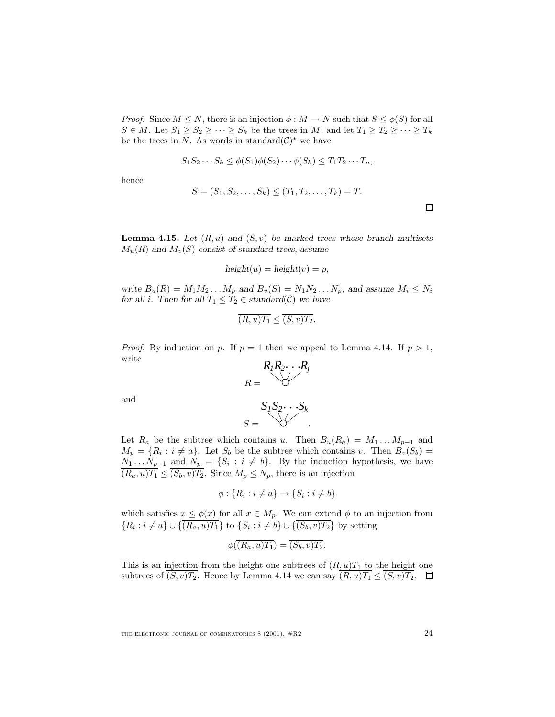*Proof.* Since  $M \leq N$ , there is an injection  $\phi : M \to N$  such that  $S \leq \phi(S)$  for all  $S \in M$ . Let  $S_1 \geq S_2 \geq \cdots \geq S_k$  be the trees in M, and let  $T_1 \geq T_2 \geq \cdots \geq T_k$ be the trees in N. As words in standard $(\mathcal{C})^*$  we have

$$
S_1 S_2 \cdots S_k \le \phi(S_1) \phi(S_2) \cdots \phi(S_k) \le T_1 T_2 \cdots T_n,
$$

hence

$$
S = (S_1, S_2, \dots, S_k) \le (T_1, T_2, \dots, T_k) = T.
$$

**Lemma 4.15.** Let  $(R, u)$  and  $(S, v)$  be marked trees whose branch multisets  $M_u(R)$  and  $M_v(S)$  consist of standard trees, assume

$$
height(u) = height(v) = p,
$$

*write*  $B_u(R) = M_1M_2...M_p$  *and*  $B_v(S) = N_1N_2...N_p$ *, and assume*  $M_i \leq N_i$ *for all i*. Then for all  $T_1 \leq T_2 \in standard(\mathcal{C})$  *we have* 

$$
\overline{(R,u)T_1} \le \overline{(S,v)T_2}.
$$

*Proof.* By induction on p. If  $p = 1$  then we appeal to Lemma 4.14. If  $p > 1$ , write

$$
R_1R_2\cdots R_j
$$

$$
R = \bigvee
$$

and

$$
S_1S_2\cdots S_k
$$
  

$$
S = \bigotimes Y
$$

Let  $R_a$  be the subtree which contains u. Then  $B_u(R_a) = M_1 \dots M_{p-1}$  and  $M_p = \{R_i : i \neq a\}$ . Let  $S_b$  be the subtree which contains v. Then  $B_v(S_b)$  =  $N_1 \ldots N_{p-1}$  and  $N_p = \{S_i : i \neq b\}$ . By the induction hypothesis, we have  $(R_a, u)T_1 \leq (S_b, v)T_2$ . Since  $M_p \leq N_p$ , there is an injection

$$
\phi: \{R_i : i \neq a\} \to \{S_i : i \neq b\}
$$

which satisfies  $x \leq \phi(x)$  for all  $x \in M_p$ . We can extend  $\phi$  to an injection from  ${R_i : i \neq a} \cup { (R_a, u)T_1 }$  to  ${S_i : i \neq b} \cup { (S_b, v)T_2 }$  by setting

$$
\phi(\overline{(R_a, u)T_1}) = \overline{(S_b, v)T_2}.
$$

This is an injection from the height one subtrees of  $(R, u)T_1$  to the height one subtrees of  $(S, v)T_2$ . Hence by Lemma 4.14 we can say  $(R, u)T_1 \leq (S, v)T_2$ .

THE ELECTRONIC JOURNAL OF COMBINATORICS  $8(2001)$ ,  $\#R2$   $24$ 

 $\Box$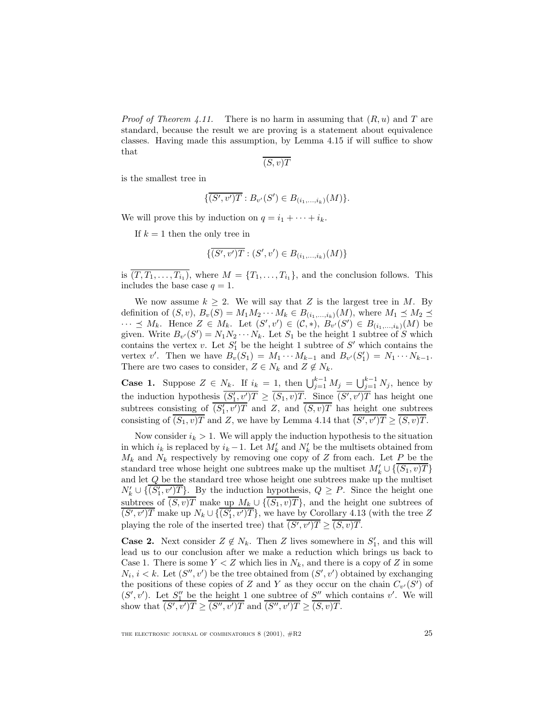*Proof of Theorem 4.11.* There is no harm in assuming that  $(R, u)$  and T are standard, because the result we are proving is a statement about equivalence classes. Having made this assumption, by Lemma 4.15 if will suffice to show that

 $(S, v)T$ 

is the smallest tree in

$$
\{ \overline{(S', v')T} : B_{v'}(S') \in B_{(i_1, \ldots, i_k)}(M) \}.
$$

We will prove this by induction on  $q = i_1 + \cdots + i_k$ .

If  $k = 1$  then the only tree in

$$
\{ \overline{(S', v')T} : (S', v') \in B_{(i_1, \ldots, i_k)}(M) \}
$$

is  $\overline{(T,T_1,\ldots,T_{i_1})}$ , where  $M = \{T_1,\ldots,T_{i_1}\}$ , and the conclusion follows. This includes the base case  $q = 1$ .

We now assume  $k \geq 2$ . We will say that Z is the largest tree in M. By definition of  $(S, v)$ ,  $B_v(S) = M_1 M_2 \cdots M_k \in B_{(i_1,\ldots,i_k)}(M)$ , where  $M_1 \preceq M_2 \preceq$  $\cdots$   $\preceq$  *M<sub>k</sub>*. Hence *Z* ∈ *M<sub>k</sub>*. Let  $(S', v') \in (C, *)$ ,  $B_{v'}(S') \in B_{(i_1,...,i_k)}(M)$  be given. Write  $B_{v'}(S') = N_1 N_2 \cdots N_k$ . Let  $S_1$  be the height 1 subtree of S which contains the vertex v. Let  $S'_{1}$  be the height 1 subtree of  $S'$  which contains the vertex v'. Then we have  $B_v(S_1) = M_1 \cdots M_{k-1}$  and  $B_{v'}(S'_1) = N_1 \cdots N_{k-1}$ . There are two cases to consider,  $Z \in N_k$  and  $Z \notin N_k$ .

**Case 1.** Suppose  $Z \in N_k$ . If  $i_k = 1$ , then  $\bigcup_{j=1}^{k-1} M_j = \bigcup_{j=1}^{k-1} N_j$ , hence by the induction hypothesis  $\overline{(S'_1,v')T} \geq \overline{(S_1,v)T}$ . Since  $\overline{(S',v')T}$  has height one subtrees consisting of  $(S'_1, v')T$  and Z, and  $(S, v)T$  has height one subtrees consisting of  $(S_1, v)T$  and Z, we have by Lemma 4.14 that  $(S', v')T \geq (S, v)T$ .

Now consider  $i_k > 1$ . We will apply the induction hypothesis to the situation in which  $i_k$  is replaced by  $i_k - 1$ . Let  $M'_k$  and  $N'_k$  be the multisets obtained from  $M_k$  and  $N_k$  respectively by removing one copy of Z from each. Let P be the standard tree whose height one subtrees make up the multiset  $M'_k \cup \{\overline{(S_1,v)T}\}$ and let Q be the standard tree whose height one subtrees make up the multiset  $N'_k \cup \{\overline{(S'_1, v')T}\}\.$  By the induction hypothesis,  $Q \geq P$ . Since the height one subtrees of  $\overline{(S,v)T}$  make up  $M_k \cup \{\overline{(S_1,v)T}\}\$ , and the height one subtrees of  $\overline{(S', v')T}$  make up  $N_k \cup \{\overline{(S'_1, v')T}\}\$ , we have by Corollary 4.13 (with the tree Z playing the role of the inserted tree) that  $(S', v')T \geq (S, v)T$ .

**Case 2.** Next consider  $Z \notin N_k$ . Then Z lives somewhere in  $S'_1$ , and this will lead us to our conclusion after we make a reduction which brings us back to Case 1. There is some  $Y < Z$  which lies in  $N_k$ , and there is a copy of Z in some  $N_i, i < k$ . Let  $(S'', v')$  be the tree obtained from  $(S', v')$  obtained by exchanging the positions of these copies of Z and Y as they occur on the chain  $C_{v'}(S')$  of  $(S', v')$ . Let  $S''_1$  be the height 1 one subtree of  $S''$  which contains v'. We will show that  $(S', v')T \geq (S'', v')T$  and  $(S'', v')T \geq (S, v)T$ .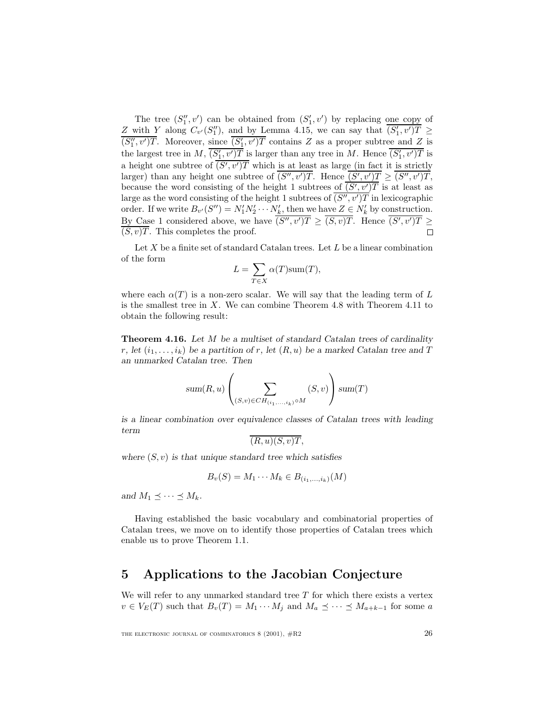The tree  $(S''_1, v')$  can be obtained from  $(S'_1, v')$  by replacing one copy of Z with Y along  $C_{v'}(S_1'')$ , and by Lemma 4.15, we can say that  $\overline{(S_1', v')T} \geq$  $(S_1'', v')T$ . Moreover, since  $\overline{(S_1', v')T}$  contains Z as a proper subtree and Z is the largest tree in M,  $\overline{(S'_1, v')T}$  is larger than any tree in M. Hence  $\overline{(S'_1, v')T}$  is a height one subtree of  $(S', v')T$  which is at least as large (in fact it is strictly larger) than any height one subtree of  $(S'', v')T$ . Hence  $(S', v')T \geq (S'', v')T$ , because the word consisting of the height 1 subtrees of  $(S', v')T$  is at least as large as the word consisting of the height 1 subtrees of  $(S'', v')T$  in lexicographic order. If we write  $B_{v'}(S'') = N'_1 N'_2 \cdots N'_k$ , then we have  $Z \in N'_k$  by construction. By Case 1 considered above, we have  $(S'', v')T \geq (S, v)T$ . Hence  $(S', v')T \geq$  $(S, v)T$ . This completes the proof.  $\Box$ 

Let  $X$  be a finite set of standard Catalan trees. Let  $L$  be a linear combination of the form

$$
L = \sum_{T \in X} \alpha(T) \text{sum}(T),
$$

where each  $\alpha(T)$  is a non-zero scalar. We will say that the leading term of L is the smallest tree in X. We can combine Theorem 4.8 with Theorem 4.11 to obtain the following result:

**Theorem 4.16.** *Let* M *be a multiset of standard Catalan trees of cardinality* r, let  $(i_1,\ldots,i_k)$  be a partition of r, let  $(R,u)$  be a marked Catalan tree and T *an unmarked Catalan tree. Then*

$$
sum(R, u) \left( \sum_{(S, v) \in CH_{(i_1, ..., i_k)} \circ M} (S, v) \right) sum(T)
$$

*is a linear combination over equivalence classes of Catalan trees with leading term*

$$
\overline{(R,u)(S,v)T},
$$

*where* (S,v) *is that unique standard tree which satisfies*

$$
B_v(S) = M_1 \cdots M_k \in B_{(i_1,\ldots,i_k)}(M)
$$

and  $M_1 \preceq \cdots \preceq M_k$ .

Having established the basic vocabulary and combinatorial properties of Catalan trees, we move on to identify those properties of Catalan trees which enable us to prove Theorem 1.1.

## **5 Applications to the Jacobian Conjecture**

We will refer to any unmarked standard tree  $T$  for which there exists a vertex  $v \in V_E(T)$  such that  $B_v(T) = M_1 \cdots M_j$  and  $M_a \preceq \cdots \preceq M_{a+k-1}$  for some a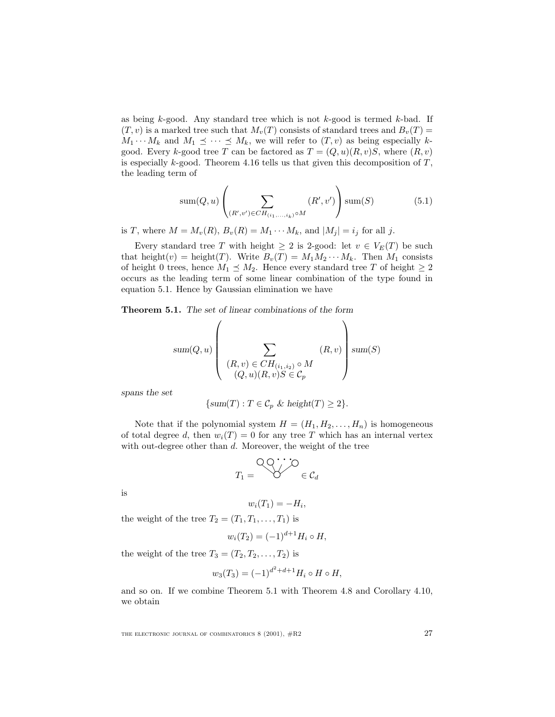as being  $k$ -good. Any standard tree which is not  $k$ -good is termed  $k$ -bad. If  $(T, v)$  is a marked tree such that  $M_v(T)$  consists of standard trees and  $B_v(T)$  =  $M_1 \cdots M_k$  and  $M_1 \preceq \cdots \preceq M_k$ , we will refer to  $(T, v)$  as being especially kgood. Every k-good tree T can be factored as  $T = (Q, u)(R, v)S$ , where  $(R, v)$ is especially  $k$ -good. Theorem 4.16 tells us that given this decomposition of  $T$ , the leading term of

sum
$$
(Q, u)
$$
 $\left( \sum_{(R', v') \in CH_{(i_1, ..., i_k)} \circ M} (R', v') \right)$ sum $(S)$  (5.1)

is T, where  $M = M_v(R)$ ,  $B_v(R) = M_1 \cdots M_k$ , and  $|M_j| = i_j$  for all j.

Every standard tree T with height  $\geq 2$  is 2-good: let  $v \in V_E(T)$  be such that height(v) = height(T). Write  $B_v(T) = M_1 M_2 \cdots M_k$ . Then  $M_1$  consists of height 0 trees, hence  $M_1 \preceq M_2$ . Hence every standard tree T of height  $\geq 2$ occurs as the leading term of some linear combination of the type found in equation 5.1. Hence by Gaussian elimination we have

**Theorem 5.1.** *The set of linear combinations of the form*

$$
sum(Q, u) \left( \sum_{\substack{(R, v) \in CH_{(i_1, i_2)} \circ M \\ (Q, u)(R, v)S \in C_p}} (R, v) \right) sum(S)
$$

*spans the set*

$$
\{\text{sum}(T) : T \in \mathcal{C}_p \& \text{height}(T) \ge 2\}.
$$

Note that if the polynomial system  $H = (H_1, H_2, \ldots, H_n)$  is homogeneous of total degree d, then  $w_i(T) = 0$  for any tree T which has an internal vertex with out-degree other than d. Moreover, the weight of the tree

$$
T_1 = \bigotimes^{\bigcirc} C \bigotimes^{\bullet} C_d
$$

is

$$
w_i(T_1) = -H_i,
$$

the weight of the tree  $T_2 = (T_1, T_1, \ldots, T_1)$  is

$$
w_i(T_2) = (-1)^{d+1} H_i \circ H,
$$

the weight of the tree  $T_3 = (T_2, T_2, \ldots, T_2)$  is

$$
w_3(T_3) = (-1)^{d^2 + d + 1} H_i \circ H \circ H,
$$

and so on. If we combine Theorem 5.1 with Theorem 4.8 and Corollary 4.10, we obtain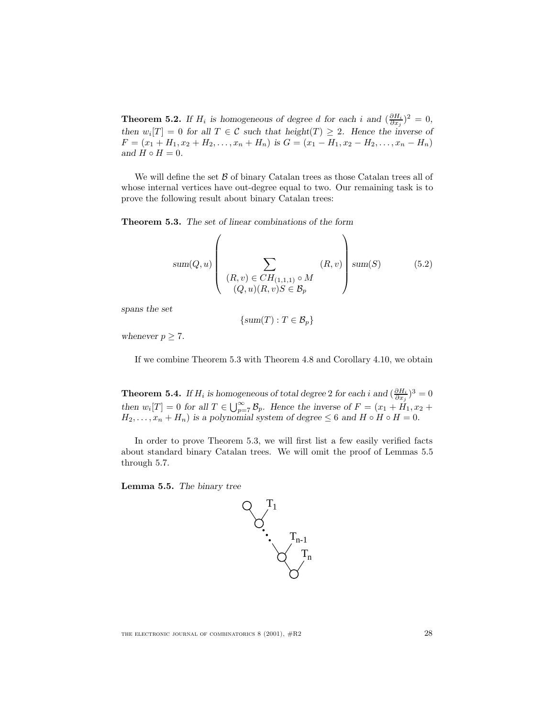**Theorem 5.2.** *If*  $H_i$  *is homogeneous of degree d for each i and*  $(\frac{\partial H_i}{\partial x_j})^2 = 0$ *, then*  $w_i[T] = 0$  *for all*  $T \in \mathcal{C}$  *such that height* $(T) \geq 2$ *. Hence the inverse of*  $F = (x_1 + H_1, x_2 + H_2, \ldots, x_n + H_n)$  *is*  $G = (x_1 - H_1, x_2 - H_2, \ldots, x_n - H_n)$ *and*  $H \circ H = 0$ *.* 

We will define the set  $\beta$  of binary Catalan trees as those Catalan trees all of whose internal vertices have out-degree equal to two. Our remaining task is to prove the following result about binary Catalan trees:

**Theorem 5.3.** *The set of linear combinations of the form*

$$
sum(Q, u) \left(\sum_{\substack{(R, v) \in CH_{(1,1,1)} \circ M \\ (Q, u)(R, v)S \in \mathcal{B}_p}} (R, v)\right) sum(S) \qquad (5.2)
$$

*spans the set*

$$
\{sum(T) : T \in \mathcal{B}_p\}
$$

*whenever*  $p \geq 7$ *.* 

If we combine Theorem 5.3 with Theorem 4.8 and Corollary 4.10, we obtain

**Theorem 5.4.** *If*  $H_i$  *is homogeneous of total degree* 2 *for each i and*  $(\frac{\partial H_i}{\partial x_j})^3 = 0$ *then*  $w_i[T] = 0$  *for all*  $T \in \bigcup_{p=7}^{\infty} \mathcal{B}_p$ *. Hence the inverse of*  $F = (x_1 + H_1, x_2 +$  $H_2, \ldots, x_n + H_n$ ) is a polynomial system of degree  $\leq 6$  and  $H \circ H \circ H = 0$ .

In order to prove Theorem 5.3, we will first list a few easily verified facts about standard binary Catalan trees. We will omit the proof of Lemmas 5.5 through 5.7.

**Lemma 5.5.** *The binary tree*

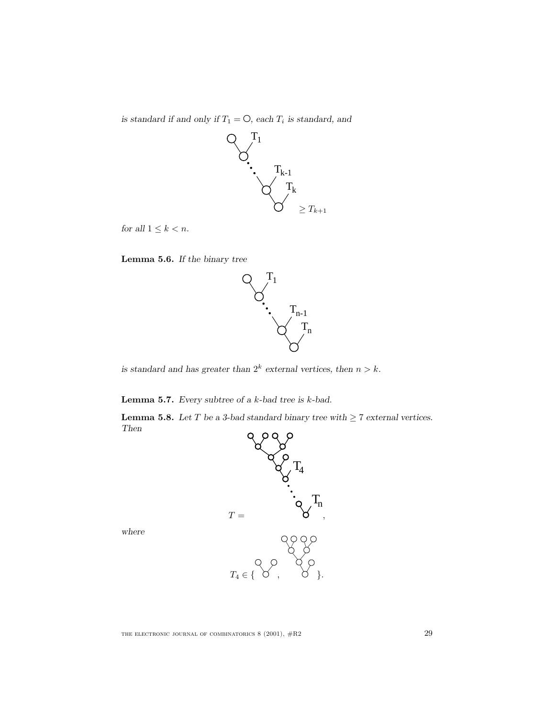*is standard if and only if*  $T_1 = \bigcirc$ , each  $T_i$  *is standard, and* 



*for all*  $1 \leq k < n$ *.* 





*is standard and has greater than*  $2^k$  *external vertices, then*  $n > k$ *.* 

**Lemma 5.7.** *Every subtree of a* k*-bad tree is* k*-bad.*

**Lemma 5.8.** *Let*  $T$  *be a 3-bad standard binary tree with*  $\geq 7$  *external vertices. Then*



*where*

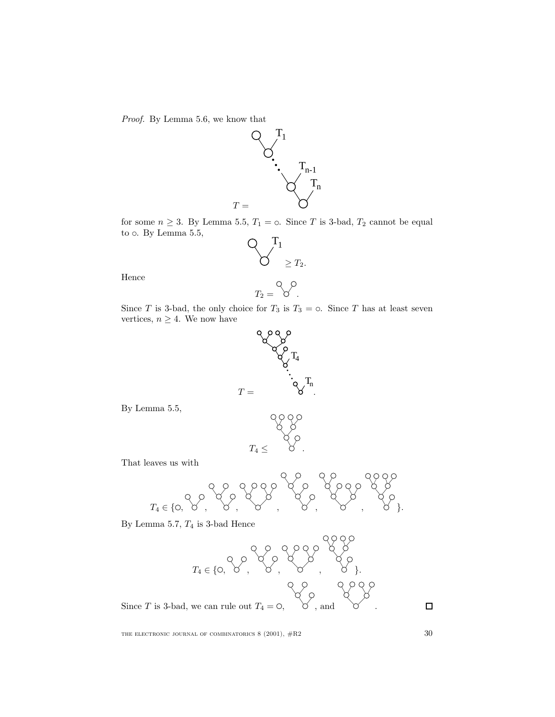Proof. By Lemma 5.6, we know that



for some  $n \geq 3$ . By Lemma 5.5,  $T_1 = \circ$ . Since T is 3-bad,  $T_2$  cannot be equal to  $\circ$ . By Lemma 5.5,



Hence

$$
T_2 = \bigotimes^{\mathcal{O}}.
$$

Since T is 3-bad, the only choice for  $T_3$  is  $T_3 = \circ$ . Since T has at least seven vertices,  $n \geq 4$ . We now have



By Lemma 5.5,



That leaves us with

T<sup>4</sup> ∈ { , , , , , , }.

By Lemma 5.7,  $T_4$  is 3-bad Hence



THE ELECTRONIC JOURNAL OF COMBINATORICS  $8$  (2001),  $\#R2$  30

 $\Box$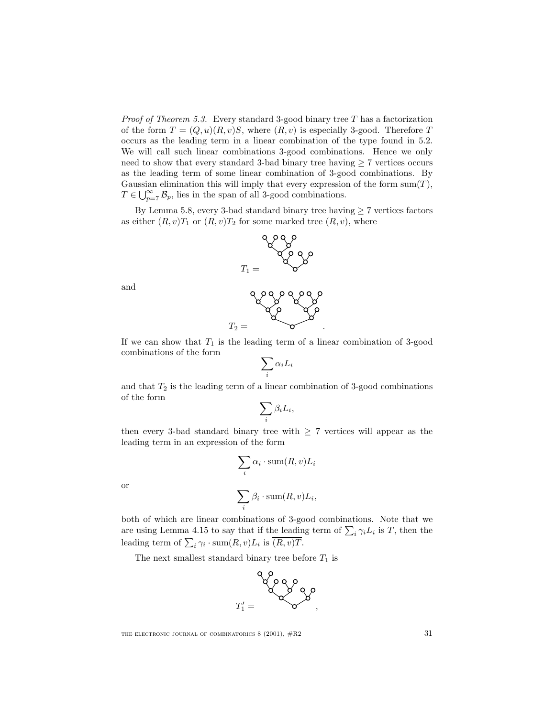*Proof of Theorem 5.3.* Every standard 3-good binary tree  $T$  has a factorization of the form  $T = (Q, u)(R, v)S$ , where  $(R, v)$  is especially 3-good. Therefore T occurs as the leading term in a linear combination of the type found in 5.2. We will call such linear combinations 3-good combinations. Hence we only need to show that every standard 3-bad binary tree having  $\geq 7$  vertices occurs as the leading term of some linear combination of 3-good combinations. By Gaussian elimination this will imply that every expression of the form  $sum(T)$ ,  $T \in \bigcup_{p=7}^{\infty} \mathcal{B}_p$ , lies in the span of all 3-good combinations.

By Lemma 5.8, every 3-bad standard binary tree having  $\geq 7$  vertices factors as either  $(R, v)T_1$  or  $(R, v)T_2$  for some marked tree  $(R, v)$ , where



and



If we can show that  $T_1$  is the leading term of a linear combination of 3-good combinations of the form

$$
\sum_i \alpha_i L_i
$$

and that  $T_2$  is the leading term of a linear combination of 3-good combinations of the form

$$
\sum_i \beta_i L_i,
$$

then every 3-bad standard binary tree with  $\geq 7$  vertices will appear as the leading term in an expression of the form

$$
\sum_i \alpha_i \cdot \text{sum}(R, v) L_i
$$

or

$$
\sum_{i} \beta_i \cdot \text{sum}(R, v) L_i,
$$

both of which are linear combinations of 3-good combinations. Note that we are using Lemma 4.15 to say that if the leading term of  $\sum_i \gamma_i L_i$  is T, then the leading term of  $\sum_i \gamma_i \cdot \text{sum}(R, v)L_i$  is  $(R, v)T$ .

The next smallest standard binary tree before  $T_1$  is

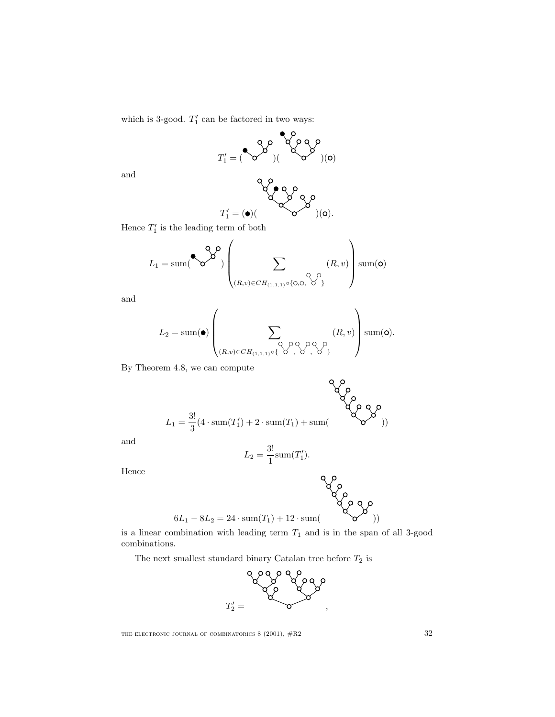which is 3-good.  $T'_1$  can be factored in two ways:

$$
T_1' = (\begin{matrix} \bullet & \bullet & \bullet \\ \bullet & \bullet & \end{matrix})(\begin{matrix} \bullet & \bullet & \bullet \\ \bullet & \bullet & \bullet \\ \bullet & \bullet & \end{matrix})(\bullet)
$$

and

$$
T_1' = (\bullet) (\hspace{1cm} \bullet) (\hspace{1cm} \bullet)
$$

Hence  $T_1'$  is the leading term of both

$$
L_1 = \text{sum}(\bigotimes^{\mathbf{Q},\mathbf{O}})\left(\sum_{(R,v)\in CH_{(1,1,1)}\circ\{0,0,\cdots\}}(R,v)\right)\text{sum}(\mathbf{O})
$$

and

$$
L_2 = \text{sum}(\bullet) \left( \sum_{(R,v) \in CH_{(1,1,1)} \circ \{ \diamondsuit \diamondsuit, \diamondsuit \diamondsuit} (R,v) \right) \text{sum}(\bullet).
$$

By Theorem 4.8, we can compute

$$
L_1 = \frac{3!}{3}(4 \cdot \text{sum}(T_1') + 2 \cdot \text{sum}(T_1) + \text{sum}(T_2 \cdot \text{sum}(T_1'))
$$

and

$$
L_2 = \frac{3!}{1} \mathrm{sum}(T_1').
$$

Hence

$$
\begin{array}{c} \mathsf{Q} \text{ } \mathsf{O} \\ \text{ } \mathsf{Q} \text{ } \mathsf{O} \\ \text{ } \mathsf{6} L_1 - 8 L_2 = 24 \cdot \mathrm{sum}(T_1) + 12 \cdot \mathrm{sum}( \text{ } \text{ } \mathsf{S} \text{ } \mathsf{O} \text{ } \mathsf{O} \text{ } \mathsf{)} ) \end{array}
$$

is a linear combination with leading term  $T_1$  and is in the span of all 3-good combinations.

The next smallest standard binary Catalan tree before  $T_2$  is

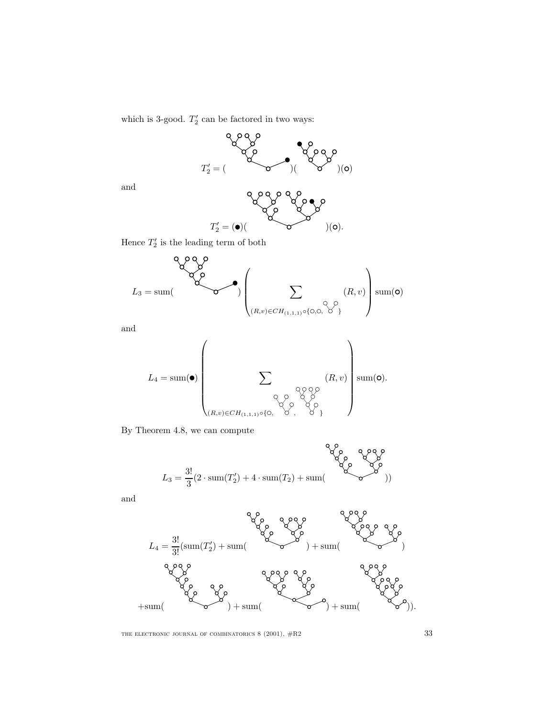which is 3-good.  $T_2'$  can be factored in two ways:



and



Hence  $T_2'$  is the leading term of both

$$
L_3 = \text{sum}\left(\sum_{(R,v)\in CH_{(1,1,1)}\circ\{0,0,\bigvee\limits^{\circ}\}}(R,v)\right)\text{sum}(\mathbf{O})
$$

and

L<sup>4</sup> = sum( ) X (R,v)∈CH(1,1,1)◦{ , , } (R,v) sum( ).

By Theorem 4.8, we can compute

$$
L_3 = \frac{3!}{3}(2 \cdot \text{sum}(T'_2) + 4 \cdot \text{sum}(T_2) + \text{sum}(T'_3))
$$

and

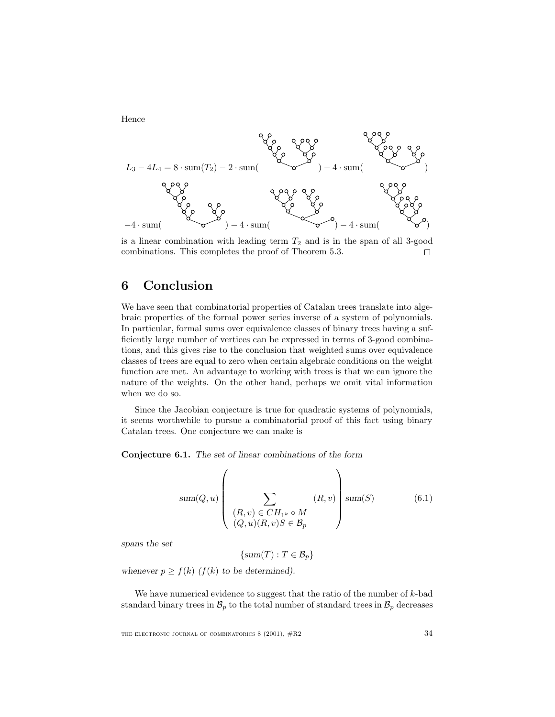Hence



is a linear combination with leading term  $T_2$  and is in the span of all 3-good combinations. This completes the proof of Theorem 5.3. П

## **6 Conclusion**

We have seen that combinatorial properties of Catalan trees translate into algebraic properties of the formal power series inverse of a system of polynomials. In particular, formal sums over equivalence classes of binary trees having a sufficiently large number of vertices can be expressed in terms of 3-good combinations, and this gives rise to the conclusion that weighted sums over equivalence classes of trees are equal to zero when certain algebraic conditions on the weight function are met. An advantage to working with trees is that we can ignore the nature of the weights. On the other hand, perhaps we omit vital information when we do so.

Since the Jacobian conjecture is true for quadratic systems of polynomials, it seems worthwhile to pursue a combinatorial proof of this fact using binary Catalan trees. One conjecture we can make is

**Conjecture 6.1.** *The set of linear combinations of the form*

$$
sum(Q, u) \left( \sum_{\substack{(R, v) \in CH_{1^k} \circ M \\ (Q, u)(R, v)S \in \mathcal{B}_p}} (R, v) \right) sum(S) \tag{6.1}
$$

*spans the set*

 $\{sum(T) : T \in \mathcal{B}_n\}$ 

whenever  $p \ge f(k)$  ( $f(k)$  to be determined).

We have numerical evidence to suggest that the ratio of the number of  $k$ -bad standard binary trees in  $\mathcal{B}_p$  to the total number of standard trees in  $\mathcal{B}_p$  decreases